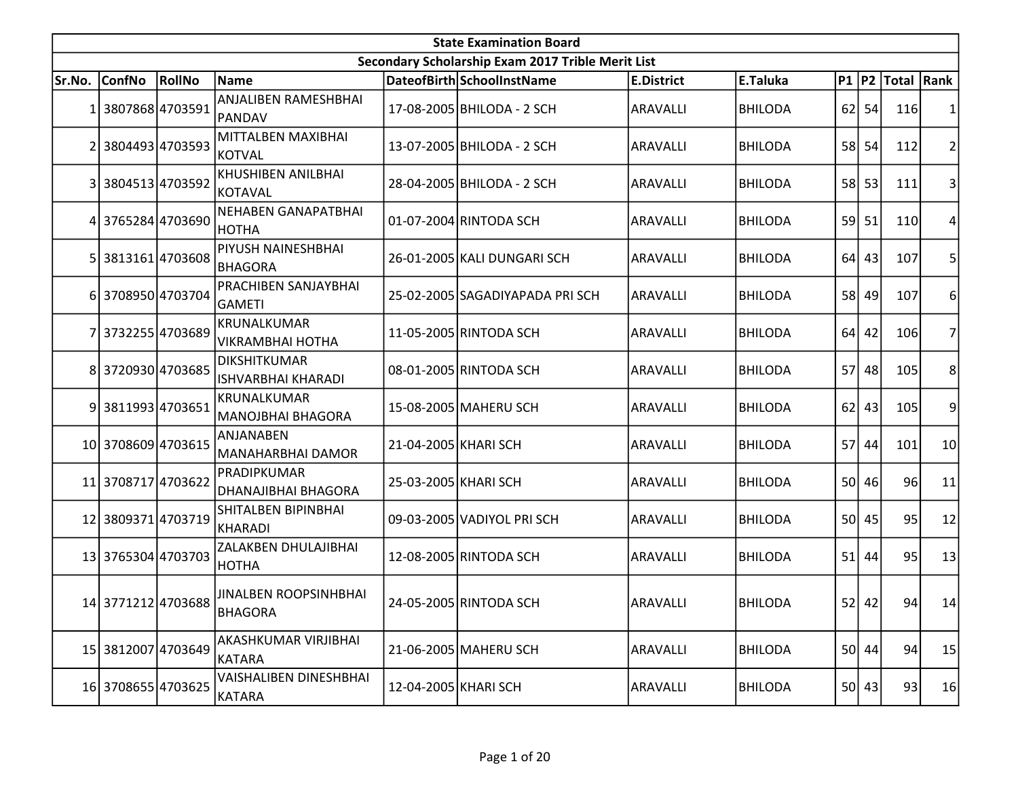| <b>State Examination Board</b> |                    |        |                                           |                      |                                                   |                   |                |           |           |                        |                |  |
|--------------------------------|--------------------|--------|-------------------------------------------|----------------------|---------------------------------------------------|-------------------|----------------|-----------|-----------|------------------------|----------------|--|
|                                |                    |        |                                           |                      | Secondary Scholarship Exam 2017 Trible Merit List |                   |                |           |           |                        |                |  |
| Sr.No.                         | <b>ConfNo</b>      | RollNo | Name                                      |                      | DateofBirth SchoolInstName                        | <b>E.District</b> | E.Taluka       |           |           | P1   P2   Total   Rank |                |  |
| 1                              | 3807868 4703591    |        | ANJALIBEN RAMESHBHAI<br>PANDAV            |                      | 17-08-2005 BHILODA - 2 SCH                        | ARAVALLI          | <b>BHILODA</b> |           | $62$ 54   | 116                    | 1              |  |
|                                | 3804493 4703593    |        | MITTALBEN MAXIBHAI<br>KOTVAL              |                      | 13-07-2005 BHILODA - 2 SCH                        | ARAVALLI          | <b>BHILODA</b> |           | 58 54     | 112                    | $\overline{2}$ |  |
| $\overline{3}$                 | 3804513 4703592    |        | <b>KHUSHIBEN ANILBHAI</b><br>KOTAVAL      |                      | 28-04-2005 BHILODA - 2 SCH                        | ARAVALLI          | <b>BHILODA</b> |           | 58 53     | 111                    | 3              |  |
| 4                              | 3765284 4703690    |        | <b>NEHABEN GANAPATBHAI</b><br>HOTHA       |                      | 01-07-2004 RINTODA SCH                            | ARAVALLI          | <b>BHILODA</b> |           | $59$ 51   | 110                    | 4              |  |
|                                | 3813161 4703608    |        | PIYUSH NAINESHBHAI<br>BHAGORA             |                      | 26-01-2005 KALI DUNGARI SCH                       | <b>ARAVALLI</b>   | <b>BHILODA</b> | 64        | 43        | 107                    | 5              |  |
|                                | 6 3708950 4703704  |        | PRACHIBEN SANJAYBHAI<br><b>GAMETI</b>     |                      | 25-02-2005 SAGADIYAPADA PRI SCH                   | ARAVALLI          | <b>BHILODA</b> |           | 58 49     | 107                    | 6              |  |
|                                | 3732255 4703689    |        | KRUNALKUMAR<br>VIKRAMBHAI HOTHA           |                      | 11-05-2005 RINTODA SCH                            | ARAVALLI          | <b>BHILODA</b> |           | $64$ 42   | 106                    | 7              |  |
| 8                              | 3720930 4703685    |        | <b>DIKSHITKUMAR</b><br>ISHVARBHAI KHARADI |                      | 08-01-2005 RINTODA SCH                            | <b>ARAVALLI</b>   | <b>BHILODA</b> |           | 57 48     | 105                    | 8              |  |
|                                | 9 3811993 4703651  |        | <b>KRUNALKUMAR</b><br>MANOJBHAI BHAGORA   |                      | 15-08-2005 MAHERU SCH                             | ARAVALLI          | <b>BHILODA</b> |           | $62$   43 | 105                    | 9              |  |
|                                | 10 3708609 4703615 |        | ANJANABEN<br>MANAHARBHAI DAMOR            | 21-04-2005 KHARI SCH |                                                   | <b>ARAVALLI</b>   | <b>BHILODA</b> | <b>57</b> | 44        | 101                    | 10             |  |
|                                | 11 3708717 4703622 |        | PRADIPKUMAR<br><b>DHANAJIBHAI BHAGORA</b> | 25-03-2005 KHARI SCH |                                                   | ARAVALLI          | <b>BHILODA</b> |           | 50 46     | 96                     | 11             |  |
|                                | 12 3809371 4703719 |        | SHITALBEN BIPINBHAI<br>KHARADI            |                      | 09-03-2005 VADIYOL PRISCH                         | ARAVALLI          | <b>BHILODA</b> |           | 50 45     | 95                     | 12             |  |
|                                | 13 3765304 4703703 |        | ZALAKBEN DHULAJIBHAI<br> НОТНА            |                      | 12-08-2005 RINTODA SCH                            | ARAVALLI          | <b>BHILODA</b> |           | $51$ 44   | 95                     | 13             |  |
|                                | 14 3771212 4703688 |        | <b>JINALBEN ROOPSINHBHAI</b><br>BHAGORA   |                      | 24-05-2005 RINTODA SCH                            | ARAVALLI          | BHILODA        |           | $52$ 42   | 94                     | 14             |  |
|                                | 15 3812007 4703649 |        | AKASHKUMAR VIRJIBHAI<br>KATARA            |                      | 21-06-2005 MAHERU SCH                             | <b>ARAVALLI</b>   | <b>BHILODA</b> |           | 50 44     | 94                     | 15             |  |
|                                | 16 3708655 4703625 |        | VAISHALIBEN DINESHBHAI<br>KATARA          | 12-04-2005 KHARI SCH |                                                   | <b>ARAVALLI</b>   | <b>BHILODA</b> |           | 50 43     | 93                     | 16             |  |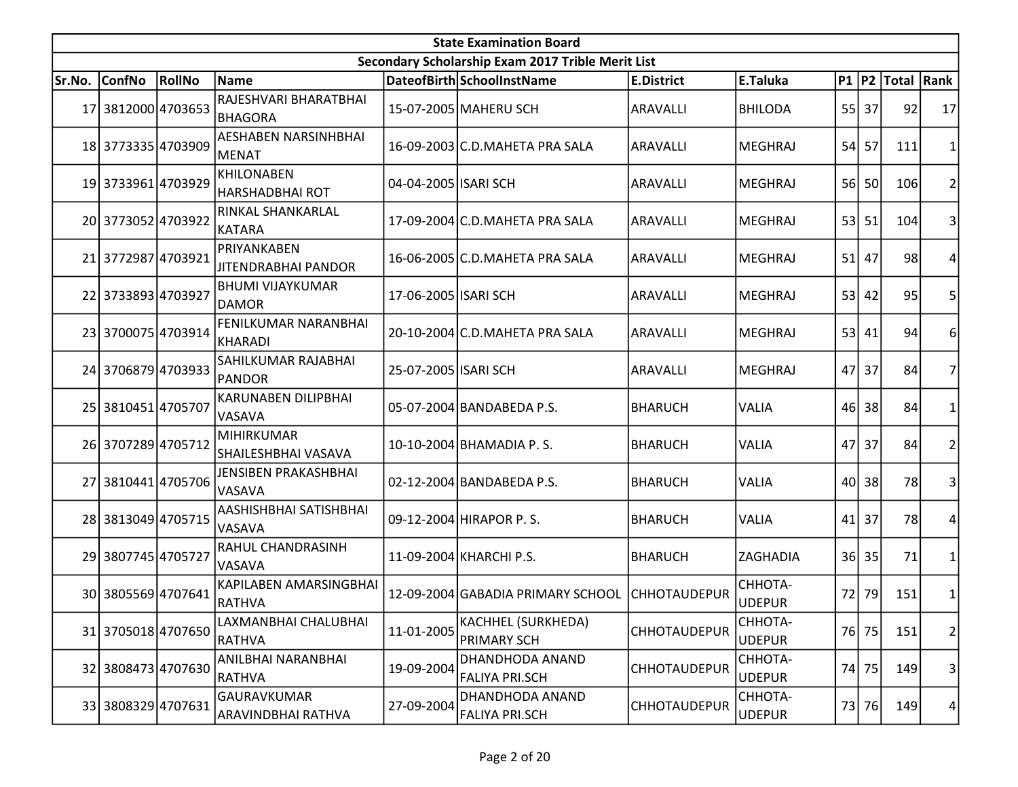|        | <b>State Examination Board</b><br>Secondary Scholarship Exam 2017 Trible Merit List |        |                                             |                      |                                                |                     |                          |                 |         |                        |                |  |  |  |
|--------|-------------------------------------------------------------------------------------|--------|---------------------------------------------|----------------------|------------------------------------------------|---------------------|--------------------------|-----------------|---------|------------------------|----------------|--|--|--|
|        |                                                                                     |        |                                             |                      |                                                |                     |                          |                 |         |                        |                |  |  |  |
| Sr.No. | <b>ConfNo</b>                                                                       | RollNo | Name                                        |                      | DateofBirth SchoolInstName                     | <b>E.District</b>   | E.Taluka                 |                 |         | P1   P2   Total   Rank |                |  |  |  |
|        | 17 3812000 4703653                                                                  |        | RAJESHVARI BHARATBHAI<br><b>BHAGORA</b>     |                      | 15-07-2005 MAHERU SCH                          | ARAVALLI            | <b>BHILODA</b>           |                 | $55$ 37 | 92                     | 17             |  |  |  |
|        | 18 3773335 4703909                                                                  |        | <b>AESHABEN NARSINHBHAI</b><br>lMENAT       |                      | 16-09-2003 C.D. MAHETA PRA SALA                | ARAVALLI            | <b>MEGHRAJ</b>           | 54              | 57      | 111                    | 1              |  |  |  |
|        | 19 3733961 4703929                                                                  |        | <b>KHILONABEN</b><br>HARSHADBHAI ROT        | 04-04-2005 ISARI SCH |                                                | <b>ARAVALLI</b>     | <b>MEGHRAJ</b>           | 56 <sup> </sup> | 50      | 106                    | $\overline{2}$ |  |  |  |
|        | 20 3773052 4703922                                                                  |        | RINKAL SHANKARLAL<br>KATARA                 |                      | 17-09-2004 C.D.MAHETA PRA SALA                 | <b>ARAVALLI</b>     | <b>MEGHRAJ</b>           |                 | $53$ 51 | 104                    | 3              |  |  |  |
|        | 21 3772987 4703921                                                                  |        | PRIYANKABEN<br><b>JITENDRABHAI PANDOR</b>   |                      | 16-06-2005 C.D. MAHETA PRA SALA                | ARAVALLI            | <b>MEGHRAJ</b>           | 51              | 47      | 98                     | 4              |  |  |  |
|        | 22 3733893 4703927                                                                  |        | <b>BHUMI VIJAYKUMAR</b><br>DAMOR            | 17-06-2005 ISARI SCH |                                                | <b>ARAVALLI</b>     | <b>MEGHRAJ</b>           | 53              | 42      | 95                     | 5              |  |  |  |
|        | 23 3700075 4703914                                                                  |        | FENILKUMAR NARANBHAI<br>KHARADI             |                      | 20-10-2004 C.D.MAHETA PRA SALA                 | ARAVALLI            | <b>MEGHRAJ</b>           |                 | $53$ 41 | 94                     | 6              |  |  |  |
|        | 24 3706879 4703933                                                                  |        | SAHILKUMAR RAJABHAI<br> PANDOR              | 25-07-2005 ISARI SCH |                                                | ARAVALLI            | <b>MEGHRAJ</b>           |                 | 47 37   | 84                     | $\overline{7}$ |  |  |  |
|        | 25 3810451 4705707                                                                  |        | <b>KARUNABEN DILIPBHAI</b><br><b>VASAVA</b> |                      | 05-07-2004 BANDABEDA P.S.                      | <b>BHARUCH</b>      | VALIA                    |                 | 46 38   | 84                     | 1              |  |  |  |
|        | 26 3707289 4705712                                                                  |        | <b>MIHIRKUMAR</b><br>SHAILESHBHAI VASAVA    |                      | 10-10-2004 BHAMADIA P.S.                       | <b>BHARUCH</b>      | <b>VALIA</b>             | 47              | 37      | 84                     | $\overline{2}$ |  |  |  |
|        | 27 3810441 4705706                                                                  |        | JENSIBEN PRAKASHBHAI<br><b>VASAVA</b>       |                      | 02-12-2004 BANDABEDA P.S.                      | <b>BHARUCH</b>      | <b>VALIA</b>             | 40              | 38      | 78                     | 3              |  |  |  |
|        | 28 3813049 4705715                                                                  |        | AASHISHBHAI SATISHBHAI<br><b>VASAVA</b>     |                      | 09-12-2004 HIRAPOR P.S.                        | <b>BHARUCH</b>      | VALIA                    | 41              | 37      | 78                     | 4              |  |  |  |
|        | 29 3807745 4705727                                                                  |        | RAHUL CHANDRASINH<br><b>VASAVA</b>          |                      | 11-09-2004 KHARCHI P.S.                        | <b>BHARUCH</b>      | ZAGHADIA                 |                 | 36 35   | 71                     | 1              |  |  |  |
|        | 30 3805569 4707641                                                                  |        | KAPILABEN AMARSINGBHAI<br><b>RATHVA</b>     |                      | 12-09-2004 GABADIA PRIMARY SCHOOL CHHOTAUDEPUR |                     | CHHOTA-<br><b>UDEPUR</b> | 72              | 79      | 151                    | $\mathbf{1}$   |  |  |  |
|        | 31 3705018 4707650                                                                  |        | LAXMANBHAI CHALUBHAI<br>RATHVA              | 11-01-2005           | KACHHEL (SURKHEDA)<br>PRIMARY SCH              | CHHOTAUDEPUR        | CHHOTA-<br><b>UDEPUR</b> |                 | 76 75   | 151                    | $\overline{2}$ |  |  |  |
|        | 32 3808473 4707630                                                                  |        | ANILBHAI NARANBHAI<br><b>RATHVA</b>         | 19-09-2004           | DHANDHODA ANAND<br><b>FALIYA PRI.SCH</b>       | CHHOTAUDEPUR        | CHHOTA-<br><b>UDEPUR</b> | 74              | 75      | 149                    | 3              |  |  |  |
|        | 33 3808329 4707631                                                                  |        | GAURAVKUMAR<br>ARAVINDBHAI RATHVA           | 27-09-2004           | DHANDHODA ANAND<br><b>FALIYA PRI.SCH</b>       | <b>CHHOTAUDEPUR</b> | CHHOTA-<br><b>UDEPUR</b> |                 | 73 76   | 149                    | 4              |  |  |  |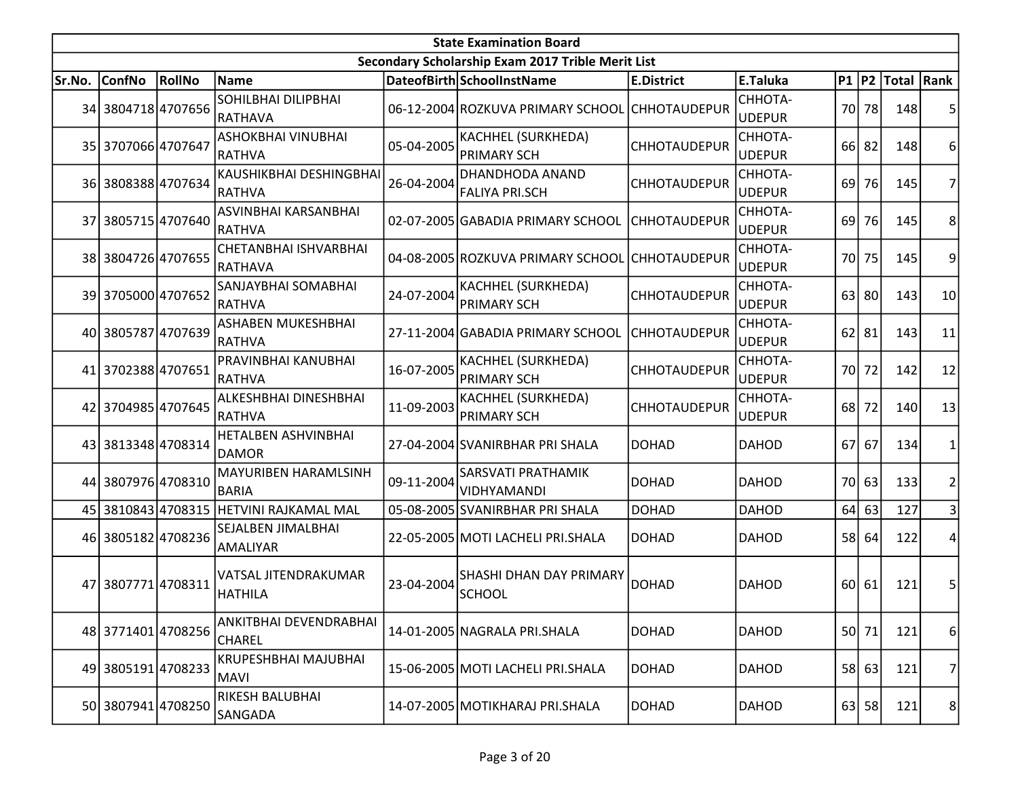| <b>State Examination Board</b> |                    |                 |                                               |            |                                                   |                     |                          |      |                 |                        |                |  |
|--------------------------------|--------------------|-----------------|-----------------------------------------------|------------|---------------------------------------------------|---------------------|--------------------------|------|-----------------|------------------------|----------------|--|
|                                |                    |                 |                                               |            | Secondary Scholarship Exam 2017 Trible Merit List |                     |                          |      |                 |                        |                |  |
| Sr.No.                         | <b>ConfNo</b>      | RollNo          | <b>Name</b>                                   |            | DateofBirth SchoolInstName                        | <b>E.District</b>   | E.Taluka                 |      |                 | P1   P2   Total   Rank |                |  |
|                                | 34 3804718 4707656 |                 | SOHILBHAI DILIPBHAI<br> RATHAVA               |            | 06-12-2004 ROZKUVA PRIMARY SCHOOL CHHOTAUDEPUR    |                     | CHHOTA-<br><b>UDEPUR</b> |      | 70 78           | 148                    | 5              |  |
|                                | 35 3707066 4707647 |                 | ASHOKBHAI VINUBHAI<br> RATHVA                 | 05-04-2005 | <b>KACHHEL (SURKHEDA)</b><br><b>PRIMARY SCH</b>   | <b>CHHOTAUDEPUR</b> | CHHOTA-<br><b>UDEPUR</b> |      | $66$   82       | 148                    | 6              |  |
|                                | 36 3808388 4707634 |                 | KAUSHIKBHAI DESHINGBHAI<br><b>RATHVA</b>      | 26-04-2004 | DHANDHODA ANAND<br><b>FALIYA PRI.SCH</b>          | <b>CHHOTAUDEPUR</b> | СННОТА-<br><b>UDEPUR</b> | 69 l | 76              | 145                    | $\overline{7}$ |  |
| 37                             | 3805715 4707640    |                 | ASVINBHAI KARSANBHAI<br><b>RATHVA</b>         |            | 02-07-2005 GABADIA PRIMARY SCHOOL                 | <b>CHHOTAUDEPUR</b> | CHHOTA-<br><b>UDEPUR</b> | 69   | 76              | 145                    | 8              |  |
|                                | 38 3804726 4707655 |                 | CHETANBHAI ISHVARBHAI<br>RATHAVA              |            | 04-08-2005 ROZKUVA PRIMARY SCHOOL CHHOTAUDEPUR    |                     | CHHOTA-<br><b>UDEPUR</b> | 70 l | 75              | 145                    | 9              |  |
|                                | 39 3705000 4707652 |                 | SANJAYBHAI SOMABHAI<br>RATHVA                 | 24-07-2004 | KACHHEL (SURKHEDA)<br><b>PRIMARY SCH</b>          | <b>CHHOTAUDEPUR</b> | CHHOTA-<br><b>UDEPUR</b> | 63   | 80 <sub>0</sub> | 143                    | 10             |  |
|                                | 40 3805787 4707639 |                 | ASHABEN MUKESHBHAI<br><b>RATHVA</b>           |            | 27-11-2004 GABADIA PRIMARY SCHOOL                 | <b>CHHOTAUDEPUR</b> | CHHOTA-<br><b>UDEPUR</b> |      | $62$   81       | 143                    | 11             |  |
|                                | 41 3702388 4707651 |                 | PRAVINBHAI KANUBHAI<br> RATHVA                | 16-07-2005 | KACHHEL (SURKHEDA)<br><b>PRIMARY SCH</b>          | CHHOTAUDEPUR        | CHHOTA-<br><b>UDEPUR</b> |      | 70 72           | 142                    | 12             |  |
|                                | 42 3704985 4707645 |                 | <b>ALKESHBHAI DINESHBHAI</b><br>RATHVA        | 11-09-2003 | KACHHEL (SURKHEDA)<br><b>PRIMARY SCH</b>          | <b>CHHOTAUDEPUR</b> | CHHOTA-<br><b>UDEPUR</b> | 68 l | 72              | 140                    | 13             |  |
|                                | 43 3813348 4708314 |                 | <b>HETALBEN ASHVINBHAI</b><br><b>DAMOR</b>    |            | 27-04-2004 SVANIRBHAR PRI SHALA                   | <b>DOHAD</b>        | <b>DAHOD</b>             | 67   | 67              | 134                    | 1              |  |
|                                | 44 3807976 4708310 |                 | <b>MAYURIBEN HARAMLSINH</b><br><b>BARIA</b>   | 09-11-2004 | SARSVATI PRATHAMIK<br><b>VIDHYAMANDI</b>          | DOHAD               | <b>DAHOD</b>             |      | 70 63           | 133                    | $\overline{2}$ |  |
| 45                             |                    | 3810843 4708315 | <b>HETVINI RAJKAMAL MAL</b>                   |            | 05-08-2005 SVANIRBHAR PRI SHALA                   | <b>DOHAD</b>        | <b>DAHOD</b>             | 64   | 63              | 127                    | 3              |  |
|                                | 46 3805182 4708236 |                 | SEJALBEN JIMALBHAI<br>AMALIYAR                |            | 22-05-2005 MOTI LACHELI PRI.SHALA                 | <b>DOHAD</b>        | <b>DAHOD</b>             | 58   | 64              | 122                    | 4              |  |
|                                | 47 3807771 4708311 |                 | <b>VATSAL JITENDRAKUMAR</b><br><b>HATHILA</b> | 23-04-2004 | SHASHI DHAN DAY PRIMARY<br>SCHOOL                 | <b>DOHAD</b>        | <b>DAHOD</b>             |      | 60 61           | 121                    | 5              |  |
|                                | 48 3771401 4708256 |                 | ANKITBHAI DEVENDRABHAI<br><b>CHAREL</b>       |            | 14-01-2005 NAGRALA PRI.SHALA                      | <b>DOHAD</b>        | <b>DAHOD</b>             |      | 50 71           | 121                    | 6              |  |
|                                | 49 3805191 4708233 |                 | KRUPESHBHAI MAJUBHAI<br><b>MAVI</b>           |            | 15-06-2005 MOTI LACHELI PRI.SHALA                 | <b>DOHAD</b>        | <b>DAHOD</b>             |      | 58 63           | 121                    | 7              |  |
|                                | 50 3807941 4708250 |                 | RIKESH BALUBHAI<br>SANGADA                    |            | 14-07-2005 MOTIKHARAJ PRI. SHALA                  | <b>DOHAD</b>        | <b>DAHOD</b>             |      | $63$ 58         | 121                    | 8 <sup>2</sup> |  |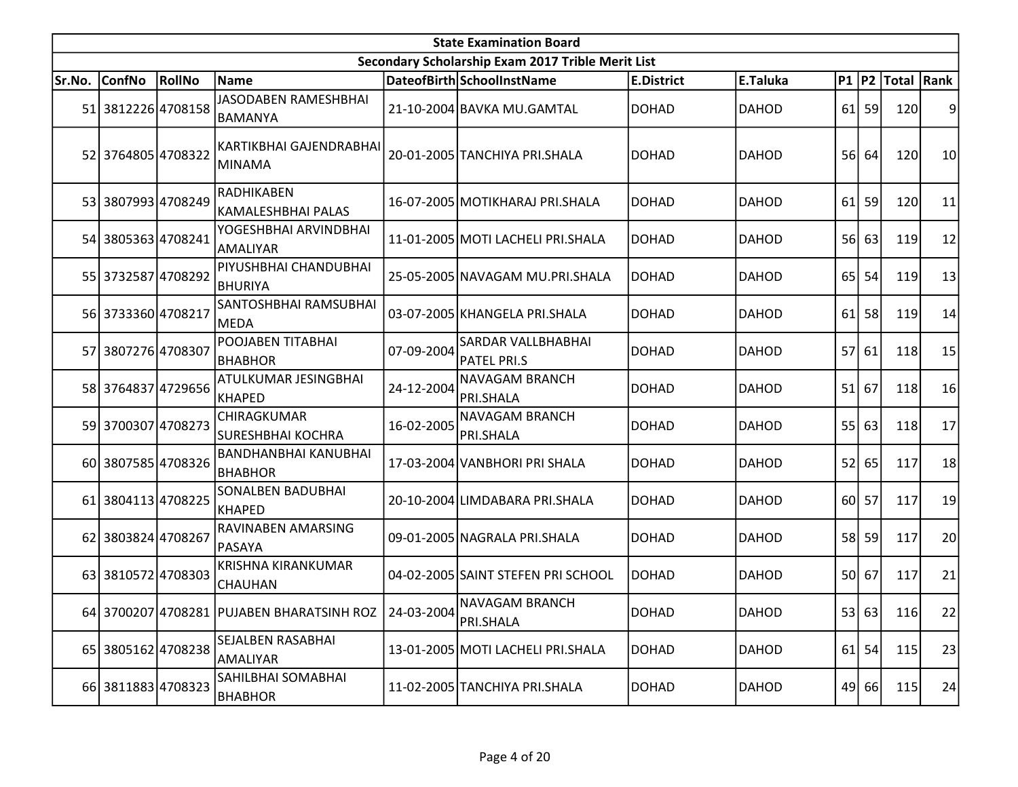|        | <b>State Examination Board</b><br>Secondary Scholarship Exam 2017 Trible Merit List |        |                                               |                      |                                                 |                   |              |                 |         |                     |    |  |  |
|--------|-------------------------------------------------------------------------------------|--------|-----------------------------------------------|----------------------|-------------------------------------------------|-------------------|--------------|-----------------|---------|---------------------|----|--|--|
|        |                                                                                     |        |                                               |                      |                                                 |                   |              |                 |         |                     |    |  |  |
| Sr.No. | <b>ConfNo</b>                                                                       | RollNo | Name                                          |                      | DateofBirth SchoolInstName                      | <b>E.District</b> | E.Taluka     |                 |         | P1  P2  Total  Rank |    |  |  |
|        | 51 3812226 4708158                                                                  |        | <b>JASODABEN RAMESHBHAI</b><br> BAMANYA       |                      | 21-10-2004 BAVKA MU.GAMTAL                      | <b>DOHAD</b>      | <b>DAHOD</b> |                 | $61$ 59 | 120                 | 9  |  |  |
|        | 52 3764805 4708322                                                                  |        | KARTIKBHAI GAJENDRABHAI<br>MINAMA             |                      | 20-01-2005 TANCHIYA PRI.SHALA                   | <b>DOHAD</b>      | <b>DAHOD</b> |                 | 56 64   | 120                 | 10 |  |  |
|        | 53 3807993 4708249                                                                  |        | RADHIKABEN<br>KAMALESHBHAI PALAS              |                      | 16-07-2005 MOTIKHARAJ PRI SHALA                 | DOHAD             | <b>DAHOD</b> | 61              | 59      | 120                 | 11 |  |  |
|        | 54 3805363 4708241                                                                  |        | YOGESHBHAI ARVINDBHAI<br><b>AMALIYAR</b>      |                      | 11-01-2005 MOTI LACHELI PRI.SHALA               | <b>DOHAD</b>      | <b>DAHOD</b> |                 | 56 63   | 119                 | 12 |  |  |
|        | 55 3732587 4708292                                                                  |        | PIYUSHBHAI CHANDUBHAI<br><b>BHURIYA</b>       |                      | 25-05-2005 NAVAGAM MU.PRI.SHALA                 | <b>DOHAD</b>      | <b>DAHOD</b> | 65 <sup> </sup> | 54      | 119                 | 13 |  |  |
|        | 56 3733360 4708217                                                                  |        | SANTOSHBHAI RAMSUBHAI<br><b>MEDA</b>          |                      | 03-07-2005 KHANGELA PRI.SHALA                   | <b>DOHAD</b>      | <b>DAHOD</b> | 61              | 58      | 119                 | 14 |  |  |
| 57     | 3807276 4708307                                                                     |        | POOJABEN TITABHAI<br><b>BHABHOR</b>           | 07-09-2004           | <b>SARDAR VALLBHABHAI</b><br><b>PATEL PRI.S</b> | <b>DOHAD</b>      | <b>DAHOD</b> | 57              | 61      | 118                 | 15 |  |  |
|        | 58 3764837 4729656                                                                  |        | ATULKUMAR JESINGBHAI<br>KHAPED                | 24-12-2004           | <b>NAVAGAM BRANCH</b><br><b>PRI.SHALA</b>       | <b>DOHAD</b>      | <b>DAHOD</b> | 51              | 67      | 118                 | 16 |  |  |
|        | 59 3700307 4708273                                                                  |        | CHIRAGKUMAR<br><b>SURESHBHAI KOCHRA</b>       | 16-02-2005           | NAVAGAM BRANCH<br>PRI.SHALA                     | <b>DOHAD</b>      | <b>DAHOD</b> | 55              | 63      | 118                 | 17 |  |  |
|        | 60 3807585 4708326                                                                  |        | <b>BANDHANBHAI KANUBHAI</b><br><b>BHABHOR</b> |                      | 17-03-2004 VANBHORI PRI SHALA                   | <b>DOHAD</b>      | <b>DAHOD</b> |                 | 52 65   | 117                 | 18 |  |  |
|        | 61 3804113 4708225                                                                  |        | SONALBEN BADUBHAI<br>KHAPED                   |                      | 20-10-2004 LIMDABARA PRI.SHALA                  | <b>DOHAD</b>      | <b>DAHOD</b> |                 | 60 57   | 117                 | 19 |  |  |
|        | 62 3803824 4708267                                                                  |        | RAVINABEN AMARSING<br>PASAYA                  |                      | 09-01-2005 NAGRALA PRI.SHALA                    | <b>DOHAD</b>      | <b>DAHOD</b> |                 | 58 59   | 117                 | 20 |  |  |
|        | 63 3810572 4708303                                                                  |        | <b>KRISHNA KIRANKUMAR</b><br>CHAUHAN          |                      | 04-02-2005 SAINT STEFEN PRI SCHOOL              | <b>DOHAD</b>      | <b>DAHOD</b> |                 | 50 67   | 117                 | 21 |  |  |
|        |                                                                                     |        | 64 3700207 4708281 PUJABEN BHARATSINH ROZ     | 24-03-2004 PRI.SHALA | NAVAGAM BRANCH                                  | <b>DOHAD</b>      | DAHOD        |                 | 53 63   | 116                 | 22 |  |  |
|        | 65 3805162 4708238                                                                  |        | SEJALBEN RASABHAI<br>AMALIYAR                 |                      | 13-01-2005 MOTI LACHELI PRI.SHALA               | <b>DOHAD</b>      | <b>DAHOD</b> |                 | $61$ 54 | 115                 | 23 |  |  |
|        | 66 3811883 4708323                                                                  |        | SAHILBHAI SOMABHAI<br><b>BHABHOR</b>          |                      | 11-02-2005 TANCHIYA PRI.SHALA                   | <b>DOHAD</b>      | <b>DAHOD</b> |                 | 49 66   | 115                 | 24 |  |  |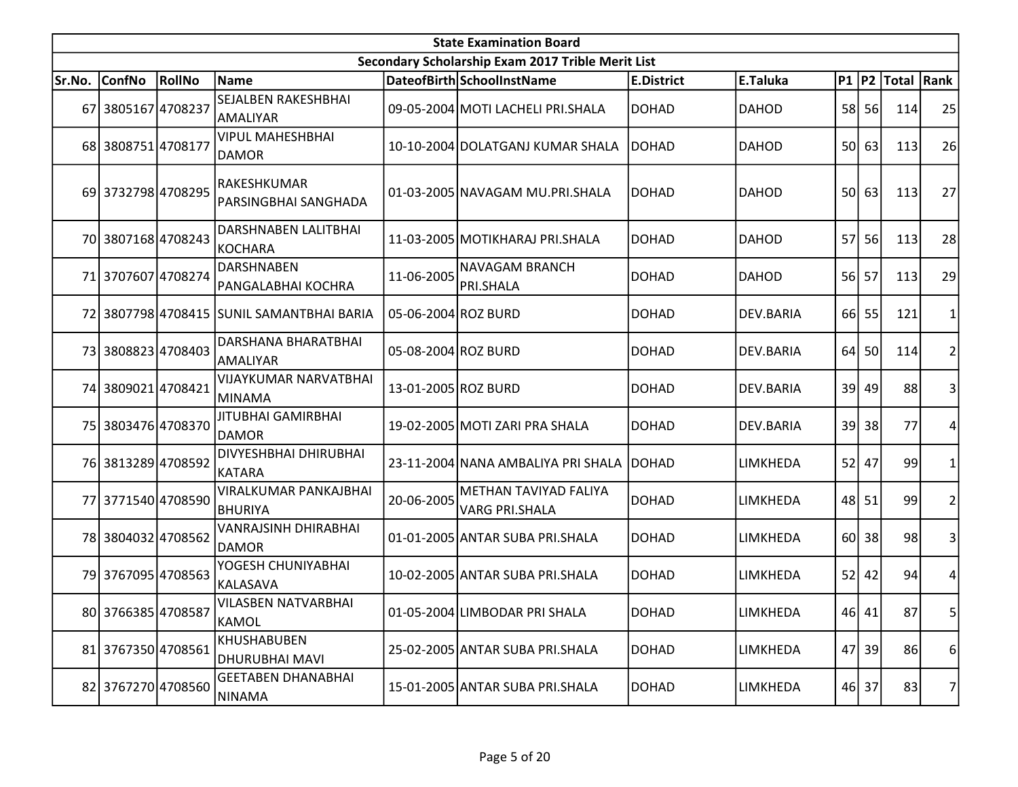| <b>State Examination Board</b> |                    |        |                                             |                     |                                                   |                   |                  |                 |           |                  |                         |  |
|--------------------------------|--------------------|--------|---------------------------------------------|---------------------|---------------------------------------------------|-------------------|------------------|-----------------|-----------|------------------|-------------------------|--|
|                                |                    |        |                                             |                     | Secondary Scholarship Exam 2017 Trible Merit List |                   |                  |                 |           |                  |                         |  |
| Sr.No.                         | <b>ConfNo</b>      | RollNo | <b>Name</b>                                 |                     | DateofBirth SchoolInstName                        | <b>E.District</b> | E.Taluka         |                 |           | P1 P2 Total Rank |                         |  |
|                                | 67 3805167 4708237 |        | SEJALBEN RAKESHBHAI<br> AMALIYAR            |                     | 09-05-2004 MOTI LACHELI PRI.SHALA                 | <b>DOHAD</b>      | <b>DAHOD</b>     |                 | 58 56     | 114              | 25                      |  |
|                                | 68 3808751 4708177 |        | <b>VIPUL MAHESHBHAI</b><br><b>DAMOR</b>     |                     | 10-10-2004 DOLATGANJ KUMAR SHALA                  | <b>DOHAD</b>      | <b>DAHOD</b>     |                 | 50 63     | 113              | 26                      |  |
|                                | 69 3732798 4708295 |        | RAKESHKUMAR<br>PARSINGBHAI SANGHADA         |                     | 01-03-2005 NAVAGAM MU.PRI.SHALA                   | DOHAD             | <b>DAHOD</b>     |                 | 50 63     | 113              | 27                      |  |
|                                | 70 3807168 4708243 |        | DARSHNABEN LALITBHAI<br>KOCHARA             |                     | 11-03-2005 MOTIKHARAJ PRI.SHALA                   | <b>DOHAD</b>      | <b>DAHOD</b>     | 57              | 56        | 113              | 28                      |  |
|                                | 71 3707607 4708274 |        | <b>DARSHNABEN</b><br>PANGALABHAI KOCHRA     | 11-06-2005          | <b>NAVAGAM BRANCH</b><br>PRI.SHALA                | <b>DOHAD</b>      | <b>DAHOD</b>     |                 | 56 57     | 113              | 29                      |  |
|                                |                    |        | 72 3807798 4708415 SUNIL SAMANTBHAI BARIA   | 05-06-2004 ROZ BURD |                                                   | <b>DOHAD</b>      | <b>DEV.BARIA</b> |                 | 66 55     | 121              | 1                       |  |
|                                | 73 3808823 4708403 |        | DARSHANA BHARATBHAI<br>AMALIYAR             | 05-08-2004 ROZ BURD |                                                   | <b>DOHAD</b>      | DEV.BARIA        | 64              | <b>50</b> | 114              | $\overline{2}$          |  |
|                                | 74 3809021 4708421 |        | <b>VIJAYKUMAR NARVATBHAI</b><br>MINAMA      | 13-01-2005 ROZ BURD |                                                   | DOHAD             | DEV.BARIA        |                 | 39 49     | 88               | 3                       |  |
|                                | 75 3803476 4708370 |        | <b>JITUBHAI GAMIRBHAI</b><br><b>DAMOR</b>   |                     | 19-02-2005 MOTI ZARI PRA SHALA                    | <b>DOHAD</b>      | DEV.BARIA        |                 | 39 38     | 77               | 4                       |  |
|                                | 76 3813289 4708592 |        | DIVYESHBHAI DHIRUBHAI<br>KATARA             |                     | 23-11-2004 NANA AMBALIYA PRI SHALA                | <b>DOHAD</b>      | LIMKHEDA         |                 | $52$ 47   | 99               | 1                       |  |
|                                | 77 3771540 4708590 |        | VIRALKUMAR PANKAJBHAI<br><b>BHURIYA</b>     | 20-06-2005          | METHAN TAVIYAD FALIYA<br><b>VARG PRI.SHALA</b>    | <b>DOHAD</b>      | LIMKHEDA         |                 | 48 51     | 99               | $\overline{\mathbf{c}}$ |  |
|                                | 78 3804032 4708562 |        | <b>VANRAJSINH DHIRABHAI</b><br><b>DAMOR</b> |                     | 01-01-2005 ANTAR SUBA PRI.SHALA                   | <b>DOHAD</b>      | LIMKHEDA         | 60 <sup>1</sup> | 38        | 98               | 3                       |  |
|                                | 79 3767095 4708563 |        | YOGESH CHUNIYABHAI<br>KALASAVA              |                     | 10-02-2005 ANTAR SUBA PRI.SHALA                   | <b>DOHAD</b>      | LIMKHEDA         | 52              | 42        | 94               | 4                       |  |
|                                | 80 3766385 4708587 |        | VILASBEN NATVARBHAI<br>KAMOL                |                     | 01-05-2004 LIMBODAR PRI SHALA                     | <b>DOHAD</b>      | LIMKHEDA         |                 | 46 41     | 87               | 5 <sup>1</sup>          |  |
|                                | 81 3767350 4708561 |        | <b>KHUSHABUBEN</b><br>DHURUBHAI MAVI        |                     | 25-02-2005 ANTAR SUBA PRI.SHALA                   | <b>DOHAD</b>      | <b>LIMKHEDA</b>  | 47              | 39        | 86               | 6                       |  |
|                                | 82 3767270 4708560 |        | <b>GEETABEN DHANABHAI</b><br>NINAMA         |                     | 15-01-2005 ANTAR SUBA PRI.SHALA                   | <b>DOHAD</b>      | LIMKHEDA         |                 | 46 37     | 83               | 7                       |  |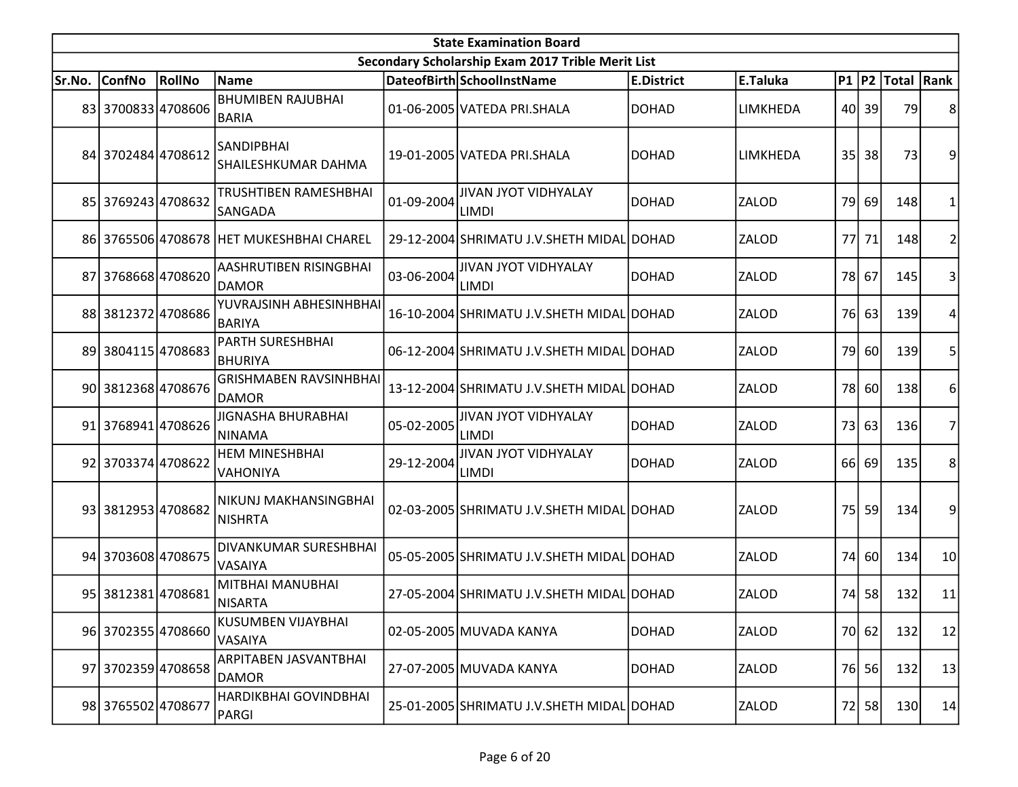| <b>State Examination Board</b> |                    |        |                                               |            |                                                   |                   |              |     |       |                     |                |  |
|--------------------------------|--------------------|--------|-----------------------------------------------|------------|---------------------------------------------------|-------------------|--------------|-----|-------|---------------------|----------------|--|
|                                |                    |        |                                               |            | Secondary Scholarship Exam 2017 Trible Merit List |                   |              |     |       |                     |                |  |
| Sr.No.                         | <b>ConfNo</b>      | RollNo | <b>Name</b>                                   |            | DateofBirth SchoolInstName                        | <b>E.District</b> | E.Taluka     |     |       | P1  P2  Total  Rank |                |  |
|                                | 83 3700833 4708606 |        | <b>BHUMIBEN RAJUBHAI</b><br><b>BARIA</b>      |            | 01-06-2005 VATEDA PRI.SHALA                       | <b>DOHAD</b>      | LIMKHEDA     |     | 40 39 | 79                  | 8              |  |
|                                | 84 3702484 4708612 |        | SANDIPBHAI<br>SHAILESHKUMAR DAHMA             |            | 19-01-2005 VATEDA PRI.SHALA                       | <b>DOHAD</b>      | LIMKHEDA     | 35  | 38    | 73                  | 9              |  |
|                                | 85 3769243 4708632 |        | TRUSHTIBEN RAMESHBHAI<br><b>SANGADA</b>       | 01-09-2004 | <b>JIVAN JYOT VIDHYALAY</b><br><b>LIMDI</b>       | <b>DOHAD</b>      | ZALOD        |     | 79 69 | 148                 | 1              |  |
|                                |                    |        | 86 3765506 4708678 HET MUKESHBHAI CHAREL      |            | 29-12-2004 SHRIMATU J.V. SHETH MIDAL DOHAD        |                   | ZALOD        |     | 77 71 | 148                 | 2              |  |
|                                | 87 3768668 4708620 |        | AASHRUTIBEN RISINGBHAI<br><b>DAMOR</b>        | 03-06-2004 | <b>JIVAN JYOT VIDHYALAY</b><br><b>LIMDI</b>       | <b>DOHAD</b>      | ZALOD        |     | 78 67 | 145                 | 3              |  |
|                                | 88 3812372 4708686 |        | YUVRAJSINH ABHESINHBHAI<br><b>BARIYA</b>      |            | 16-10-2004 SHRIMATU J.V. SHETH MIDAL DOHAD        |                   | ZALOD        |     | 76 63 | 139                 | 4              |  |
|                                | 89 3804115 4708683 |        | PARTH SURESHBHAI<br>BHURIYA                   |            | 06-12-2004 SHRIMATU J.V.SHETH MIDAL DOHAD         |                   | ZALOD        | 79  | 60    | 139                 | 5              |  |
|                                | 90 3812368 4708676 |        | <b>GRISHMABEN RAVSINHBHAI</b><br><b>DAMOR</b> |            | 13-12-2004 SHRIMATU J.V. SHETH MIDAL DOHAD        |                   | ZALOD        |     | 78 60 | 138                 | 6              |  |
|                                | 91 3768941 4708626 |        | JIGNASHA BHURABHAI<br>NINAMA                  | 05-02-2005 | <b>JIVAN JYOT VIDHYALAY</b><br><b>LIMDI</b>       | <b>DOHAD</b>      | ZALOD        | 73  | 63    | 136                 | $\overline{7}$ |  |
|                                | 92 3703374 4708622 |        | <b>HEM MINESHBHAI</b><br>VAHONIYA             | 29-12-2004 | <b>JIVAN JYOT VIDHYALAY</b><br><b>LIMDI</b>       | DOHAD             | <b>ZALOD</b> |     | 66 69 | 135                 | 8              |  |
|                                | 93 3812953 4708682 |        | NIKUNJ MAKHANSINGBHAI<br>NISHRTA              |            | 02-03-2005 SHRIMATU J.V.SHETH MIDAL DOHAD         |                   | ZALOD        | 75I | 59    | 134                 | 9              |  |
|                                | 94 3703608 4708675 |        | DIVANKUMAR SURESHBHAI<br><b>VASAIYA</b>       |            | 05-05-2005 SHRIMATU J.V. SHETH MIDAL DOHAD        |                   | ZALOD        | 74I | -60l  | 134                 | 10             |  |
|                                | 95 3812381 4708681 |        | <b>MITBHAI MANUBHAI</b><br>NISARTA            |            | 27-05-2004 SHRIMATU J.V. SHETH MIDAL DOHAD        |                   | ZALOD        |     | 74 58 | 132                 | 11             |  |
|                                | 96 3702355 4708660 |        | <b>KUSUMBEN VIJAYBHAI</b><br>VASAIYA          |            | 02-05-2005 MUVADA KANYA                           | <b>DOHAD</b>      | ZALOD        |     | 70 62 | 132                 | 12             |  |
|                                | 97 3702359 4708658 |        | <b>ARPITABEN JASVANTBHAI</b><br><b>DAMOR</b>  |            | 27-07-2005 MUVADA KANYA                           | <b>DOHAD</b>      | ZALOD        |     | 76 56 | 132                 | 13             |  |
|                                | 98 3765502 4708677 |        | HARDIKBHAI GOVINDBHAI<br>PARGI                |            | 25-01-2005 SHRIMATU J.V.SHETH MIDAL DOHAD         |                   | ZALOD        |     | 72 58 | 130                 | 14             |  |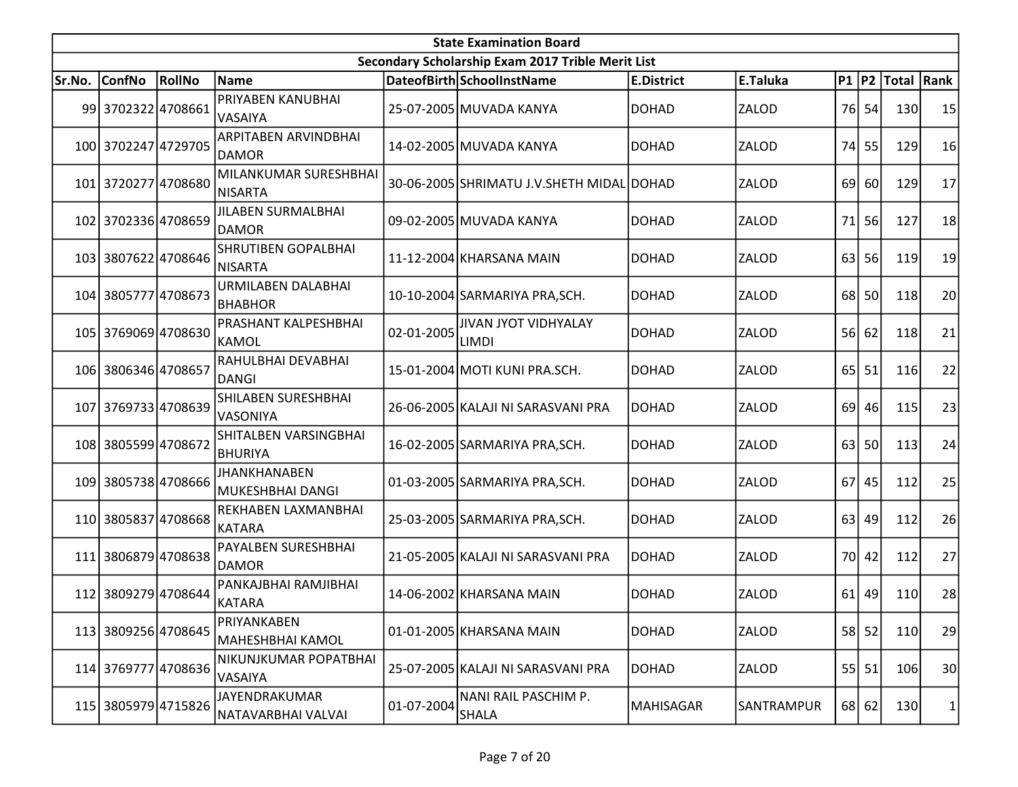|        | <b>State Examination Board</b><br>Secondary Scholarship Exam 2017 Trible Merit List |        |                                           |            |                                             |                   |                 |      |           |                        |              |  |  |  |
|--------|-------------------------------------------------------------------------------------|--------|-------------------------------------------|------------|---------------------------------------------|-------------------|-----------------|------|-----------|------------------------|--------------|--|--|--|
|        |                                                                                     |        |                                           |            |                                             |                   |                 |      |           |                        |              |  |  |  |
| Sr.No. | <b>ConfNo</b>                                                                       | RollNo | Name                                      |            | DateofBirth SchoolInstName                  | <b>E.District</b> | <b>E.Taluka</b> |      |           | P1   P2   Total   Rank |              |  |  |  |
|        | 99 3702322 4708661                                                                  |        | PRIYABEN KANUBHAI<br><b>VASAIYA</b>       |            | 25-07-2005 MUVADA KANYA                     | <b>DOHAD</b>      | ZALOD           |      | 76 54     | 130                    | 15           |  |  |  |
|        | 100 3702247 4729705                                                                 |        | ARPITABEN ARVINDBHAI<br><b>DAMOR</b>      |            | 14-02-2005 MUVADA KANYA                     | <b>DOHAD</b>      | ZALOD           | 74   | 55        | 129                    | 16           |  |  |  |
|        | 101 3720277 4708680                                                                 |        | MILANKUMAR SURESHBHAI<br>NISARTA          |            | 30-06-2005 SHRIMATU J.V.SHETH MIDAL DOHAD   |                   | ZALOD           | 69 l | <b>60</b> | 129                    | 17           |  |  |  |
|        | 102 3702336 4708659                                                                 |        | <b>JILABEN SURMALBHAI</b><br><b>DAMOR</b> |            | 09-02-2005 MUVADA KANYA                     | <b>DOHAD</b>      | <b>ZALOD</b>    | 71   | 56        | 127                    | 18           |  |  |  |
|        | 103 3807622 4708646                                                                 |        | SHRUTIBEN GOPALBHAI<br>NISARTA            |            | 11-12-2004 KHARSANA MAIN                    | <b>DOHAD</b>      | ZALOD           | 63   | 56        | 119                    | 19           |  |  |  |
|        | 104 3805777 4708673                                                                 |        | URMILABEN DALABHAI<br><b>BHABHOR</b>      |            | 10-10-2004 SARMARIYA PRA, SCH.              | <b>DOHAD</b>      | ZALOD           | 68   | 50        | <b>118</b>             | 20           |  |  |  |
|        | 105 3769069 4708630                                                                 |        | <b>PRASHANT KALPESHBHAI</b><br>KAMOL      | 02-01-2005 | <b>JIVAN JYOT VIDHYALAY</b><br><b>LIMDI</b> | <b>DOHAD</b>      | ZALOD           |      | $56$ 62   | 118                    | 21           |  |  |  |
|        | 106 3806346 4708657                                                                 |        | RAHULBHAI DEVABHAI<br>DANGI               |            | 15-01-2004 MOTI KUNI PRA.SCH.               | <b>DOHAD</b>      | ZALOD           |      | $65$   51 | 116                    | 22           |  |  |  |
|        | 107 3769733 4708639                                                                 |        | SHILABEN SURESHBHAI<br>VASONIYA           |            | 26-06-2005 KALAJI NI SARASVANI PRA          | <b>DOHAD</b>      | <b>ZALOD</b>    | 69 l | 46        | 115                    | 23           |  |  |  |
|        | 108 3805599 4708672                                                                 |        | SHITALBEN VARSINGBHAI<br><b>BHURIYA</b>   |            | 16-02-2005 SARMARIYA PRA, SCH.              | <b>DOHAD</b>      | ZALOD           | 63   | 50        | 113                    | 24           |  |  |  |
|        | 109 3805738 4708666                                                                 |        | JHANKHANABEN<br>MUKESHBHAI DANGI          |            | 01-03-2005 SARMARIYA PRA, SCH.              | <b>DOHAD</b>      | ZALOD           | 67 I | 45        | 112                    | 25           |  |  |  |
|        | 110 3805837 4708668                                                                 |        | REKHABEN LAXMANBHAI<br>KATARA             |            | 25-03-2005 SARMARIYA PRA, SCH.              | <b>DOHAD</b>      | ZALOD           | 63   | 49        | 112                    | 26           |  |  |  |
| 111l   | 38068794708638                                                                      |        | PAYALBEN SURESHBHAI<br><b>DAMOR</b>       |            | 21-05-2005 KALAJI NI SARASVANI PRA          | <b>DOHAD</b>      | ZALOD           | 70I  | 42        | 112                    | 27           |  |  |  |
|        | 112 3809279 4708644                                                                 |        | PANKAJBHAI RAMJIBHAI<br>KATARA            |            | 14-06-2002 KHARSANA MAIN                    | <b>DOHAD</b>      | ZALOD           |      | $61$   49 | 110                    | 28           |  |  |  |
|        | 113 3809256 4708645                                                                 |        | PRIYANKABEN<br>MAHESHBHAI KAMOL           |            | 01-01-2005 KHARSANA MAIN                    | <b>DOHAD</b>      | <b>ZALOD</b>    |      | $58$ 52   | 110                    | 29           |  |  |  |
|        | 114 3769777 4708636                                                                 |        | NIKUNJKUMAR POPATBHAI<br>VASAIYA          |            | 25-07-2005 KALAJI NI SARASVANI PRA          | <b>DOHAD</b>      | ZALOD           |      | $55$ 51   | 106                    | 30           |  |  |  |
|        | 115 3805979 4715826                                                                 |        | JAYENDRAKUMAR<br>NATAVARBHAI VALVAI       | 01-07-2004 | NANI RAIL PASCHIM P.<br>SHALA               | MAHISAGAR         | SANTRAMPUR      |      | 68 62     | 130                    | $\mathbf{1}$ |  |  |  |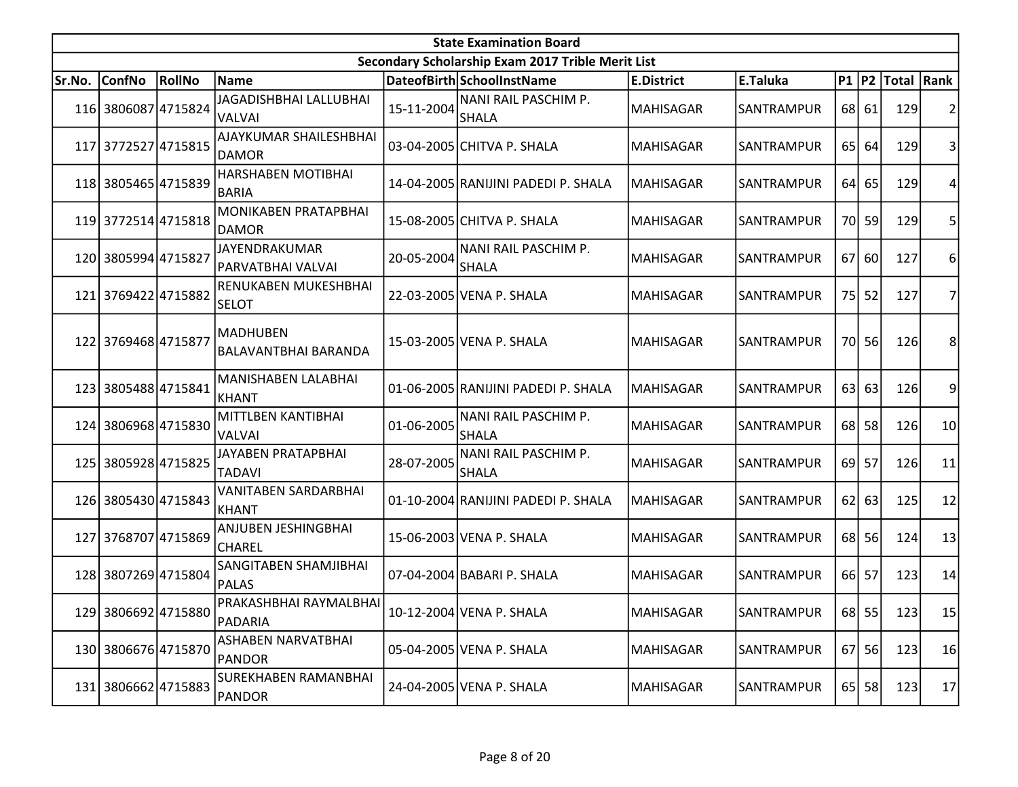| <b>State Examination Board</b> |                     |        |                                                |            |                                                   |                   |                   |      |           |                     |    |  |
|--------------------------------|---------------------|--------|------------------------------------------------|------------|---------------------------------------------------|-------------------|-------------------|------|-----------|---------------------|----|--|
|                                |                     |        |                                                |            | Secondary Scholarship Exam 2017 Trible Merit List |                   |                   |      |           |                     |    |  |
| Sr.No.                         | <b>ConfNo</b>       | RollNo | Name                                           |            | DateofBirth SchoolInstName                        | <b>E.District</b> | E.Taluka          |      |           | P1  P2  Total  Rank |    |  |
|                                | 116 3806087 4715824 |        | <b>JAGADISHBHAI LALLUBHAI</b><br><b>VALVAI</b> | 15-11-2004 | NANI RAIL PASCHIM P.<br><b>SHALA</b>              | <b>MAHISAGAR</b>  | SANTRAMPUR        |      | 68 61     | 129                 | 2  |  |
|                                | 117 3772527 4715815 |        | AJAYKUMAR SHAILESHBHAI<br><b>DAMOR</b>         |            | 03-04-2005 CHITVA P. SHALA                        | <b>MAHISAGAR</b>  | SANTRAMPUR        | 65   | 64        | 129                 | 3  |  |
|                                | 118 3805465 4715839 |        | HARSHABEN MOTIBHAI<br><b>BARIA</b>             |            | 14-04-2005 RANIJINI PADEDI P. SHALA               | <b>MAHISAGAR</b>  | SANTRAMPUR        |      | 64 65     | 129                 | 4  |  |
|                                | 119 3772514 4715818 |        | MONIKABEN PRATAPBHAI<br><b>DAMOR</b>           |            | 15-08-2005 CHITVA P. SHALA                        | <b>MAHISAGAR</b>  | SANTRAMPUR        |      | 70 59     | 129                 | 5  |  |
|                                | 120 3805994 4715827 |        | JAYENDRAKUMAR<br>PARVATBHAI VALVAI             | 20-05-2004 | NANI RAIL PASCHIM P.<br><b>SHALA</b>              | <b>MAHISAGAR</b>  | SANTRAMPUR        | 67 I | 60        | 127                 | 6  |  |
|                                | 121 3769422 4715882 |        | RENUKABEN MUKESHBHAI<br><b>SELOT</b>           |            | 22-03-2005 VENA P. SHALA                          | <b>MAHISAGAR</b>  | SANTRAMPUR        |      | 75 52     | 127                 | 7  |  |
|                                | 122 3769468 4715877 |        | <b>MADHUBEN</b><br><b>BALAVANTBHAI BARANDA</b> |            | 15-03-2005 VENA P. SHALA                          | <b>MAHISAGAR</b>  | SANTRAMPUR        |      | 70 56     | 126                 | 8  |  |
|                                | 123 3805488 4715841 |        | MANISHABEN LALABHAI<br>KHANT                   |            | 01-06-2005 RANIJINI PADEDI P. SHALA               | <b>MAHISAGAR</b>  | <b>SANTRAMPUR</b> |      | 63 63     | 126                 | 9  |  |
|                                | 124 3806968 4715830 |        | MITTLBEN KANTIBHAI<br>VALVAI                   | 01-06-2005 | NANI RAIL PASCHIM P.<br><b>SHALA</b>              | <b>MAHISAGAR</b>  | SANTRAMPUR        | 68   | 58        | 126                 | 10 |  |
|                                | 125 3805928 4715825 |        | JAYABEN PRATAPBHAI<br>TADAVI                   | 28-07-2005 | NANI RAIL PASCHIM P.<br>SHALA                     | <b>MAHISAGAR</b>  | SANTRAMPUR        | 69 l | 57        | 126                 | 11 |  |
|                                | 126 3805430 4715843 |        | VANITABEN SARDARBHAI<br>KHANT                  |            | 01-10-2004 RANIJINI PADEDI P. SHALA               | <b>MAHISAGAR</b>  | SANTRAMPUR        |      | $62$ 63   | 125                 | 12 |  |
|                                | 127 3768707 4715869 |        | ANJUBEN JESHINGBHAI<br><b>CHAREL</b>           |            | 15-06-2003 VENA P. SHALA                          | <b>MAHISAGAR</b>  | SANTRAMPUR        |      | 68 56     | 124                 | 13 |  |
|                                | 128 3807269 4715804 |        | SANGITABEN SHAMJIBHAI<br>PALAS                 |            | 07-04-2004 BABARI P. SHALA                        | <b>MAHISAGAR</b>  | SANTRAMPUR        |      | 66 57     | 123                 | 14 |  |
|                                | 129 3806692 4715880 |        | PRAKASHBHAI RAYMALBHAI<br>PADARIA              |            | 10-12-2004 VENA P. SHALA                          | MAHISAGAR         | SANTRAMPUR        |      | 68 55     | 123                 | 15 |  |
|                                | 130 3806676 4715870 |        | ASHABEN NARVATBHAI<br>PANDOR                   |            | 05-04-2005 VENA P. SHALA                          | <b>MAHISAGAR</b>  | SANTRAMPUR        |      | 67 56     | 123                 | 16 |  |
|                                | 131 3806662 4715883 |        | SUREKHABEN RAMANBHAI<br>PANDOR                 |            | 24-04-2005 VENA P. SHALA                          | <b>MAHISAGAR</b>  | SANTRAMPUR        |      | $65$   58 | 123                 | 17 |  |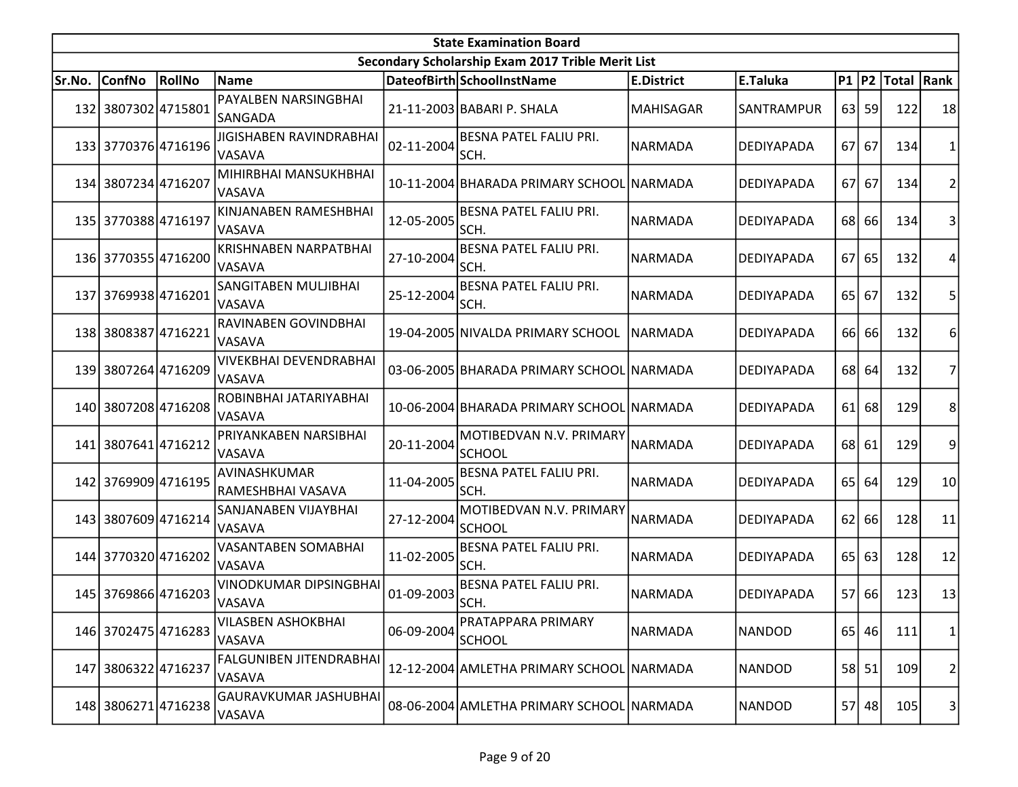| <b>State Examination Board</b> |                     |        |                                                 |            |                                                   |                   |                   |                 |           |                     |                         |  |
|--------------------------------|---------------------|--------|-------------------------------------------------|------------|---------------------------------------------------|-------------------|-------------------|-----------------|-----------|---------------------|-------------------------|--|
|                                |                     |        |                                                 |            | Secondary Scholarship Exam 2017 Trible Merit List |                   |                   |                 |           |                     |                         |  |
| Sr.No.                         | <b>ConfNo</b>       | RollNo | <b>Name</b>                                     |            | DateofBirth SchoolInstName                        | <b>E.District</b> | E.Taluka          |                 |           | P1  P2  Total  Rank |                         |  |
|                                | 132 3807302 4715801 |        | PAYALBEN NARSINGBHAI<br>lSANGADA                |            | 21-11-2003 BABARI P. SHALA                        | MAHISAGAR         | SANTRAMPUR        |                 | $63$ 59   | 122                 | 18                      |  |
|                                | 133 3770376 4716196 |        | JIGISHABEN RAVINDRABHAI<br><b>VASAVA</b>        | 02-11-2004 | <b>BESNA PATEL FALIU PRI.</b><br>SCH.             | NARMADA           | DEDIYAPADA        | 67I             | 67        | 134                 | $\mathbf{1}$            |  |
|                                | 134 3807234 4716207 |        | MIHIRBHAI MANSUKHBHAI<br><b>VASAVA</b>          |            | 10-11-2004 BHARADA PRIMARY SCHOOL NARMADA         |                   | DEDIYAPADA        | 67I             | 67        | 134                 | $\overline{2}$          |  |
|                                | 135 3770388 4716197 |        | KINJANABEN RAMESHBHAI<br><b>VASAVA</b>          | 12-05-2005 | <b>BESNA PATEL FALIU PRI.</b><br>SCH.             | NARMADA           | <b>DEDIYAPADA</b> | 68 l            | 66        | 134                 | 3                       |  |
|                                | 136 3770355 4716200 |        | <b>KRISHNABEN NARPATBHAI</b><br><b>VASAVA</b>   | 27-10-2004 | <b>BESNA PATEL FALIU PRI.</b><br>SCH.             | NARMADA           | <b>DEDIYAPADA</b> | 67              | 65        | 132                 | 4                       |  |
|                                | 137 3769938 4716201 |        | SANGITABEN MULJIBHAI<br><b>VASAVA</b>           | 25-12-2004 | <b>BESNA PATEL FALIU PRI.</b><br>SCH.             | NARMADA           | DEDIYAPADA        | 65 l            | 67        | 132                 | 5                       |  |
|                                | 138 3808387 4716221 |        | <b>RAVINABEN GOVINDBHAI</b><br><b>VASAVA</b>    |            | 19-04-2005 NIVALDA PRIMARY SCHOOL                 | <b>NARMADA</b>    | DEDIYAPADA        | 66I             | 66        | 132                 | 6                       |  |
|                                | 139 3807264 4716209 |        | VIVEKBHAI DEVENDRABHAI<br><b>VASAVA</b>         |            | 03-06-2005 BHARADA PRIMARY SCHOOL NARMADA         |                   | DEDIYAPADA        |                 | 68 64     | 132                 | 7                       |  |
|                                | 140 3807208 4716208 |        | ROBINBHAI JATARIYABHAI<br>VASAVA                |            | 10-06-2004 BHARADA PRIMARY SCHOOL NARMADA         |                   | DEDIYAPADA        | 61              | 68        | 129                 | 8                       |  |
| 141 l                          | 3807641 4716212     |        | PRIYANKABEN NARSIBHAI<br><b>VASAVA</b>          | 20-11-2004 | MOTIBEDVAN N.V. PRIMARY<br><b>SCHOOL</b>          | NARMADA           | <b>DEDIYAPADA</b> | 68 l            | 61        | 129                 | 9                       |  |
|                                | 142 3769909 4716195 |        | AVINASHKUMAR<br>RAMESHBHAI VASAVA               | 11-04-2005 | <b>BESNA PATEL FALIU PRI.</b><br>SCH.             | NARMADA           | DEDIYAPADA        | 65 <sup> </sup> | 64        | 129                 | 10                      |  |
|                                | 143 3807609 4716214 |        | SANJANABEN VIJAYBHAI<br><b>VASAVA</b>           | 27-12-2004 | MOTIBEDVAN N.V. PRIMARY<br><b>SCHOOL</b>          | NARMADA           | DEDIYAPADA        | <b>621</b>      | 66        | 128                 | 11                      |  |
|                                | 144 3770320 4716202 |        | <b>VASANTABEN SOMABHAI</b><br><b>VASAVA</b>     | 11-02-2005 | <b>BESNA PATEL FALIU PRI.</b><br>SCH.             | INARMADA          | <b>DEDIYAPADA</b> | 65 <sup> </sup> | 63        | 128                 | 12                      |  |
|                                | 145 3769866 4716203 |        | VINODKUMAR DIPSINGBHAI<br><b>VASAVA</b>         | 01-09-2003 | BESNA PATEL FALIU PRI.<br>SCH.                    | NARMADA           | DEDIYAPADA        | 57              | <b>66</b> | 123                 | 13                      |  |
|                                | 146 3702475 4716283 |        | <b>VILASBEN ASHOKBHAI</b><br>VASAVA             | 06-09-2004 | PRATAPPARA PRIMARY<br><b>SCHOOL</b>               | NARMADA           | <b>NANDOD</b>     |                 | 65 46     | 111                 | $\mathbf{1}$            |  |
| 147 I                          | 3806322 4716237     |        | <b>FALGUNIBEN JITENDRABHAI</b><br><b>VASAVA</b> |            | 12-12-2004 AMLETHA PRIMARY SCHOOL NARMADA         |                   | <b>NANDOD</b>     |                 | 58 51     | 109                 | $\overline{\mathbf{c}}$ |  |
|                                | 148 3806271 4716238 |        | GAURAVKUMAR JASHUBHAI<br><b>VASAVA</b>          |            | 08-06-2004 AMLETHA PRIMARY SCHOOL NARMADA         |                   | <b>NANDOD</b>     |                 | 57 48     | 105                 | 3                       |  |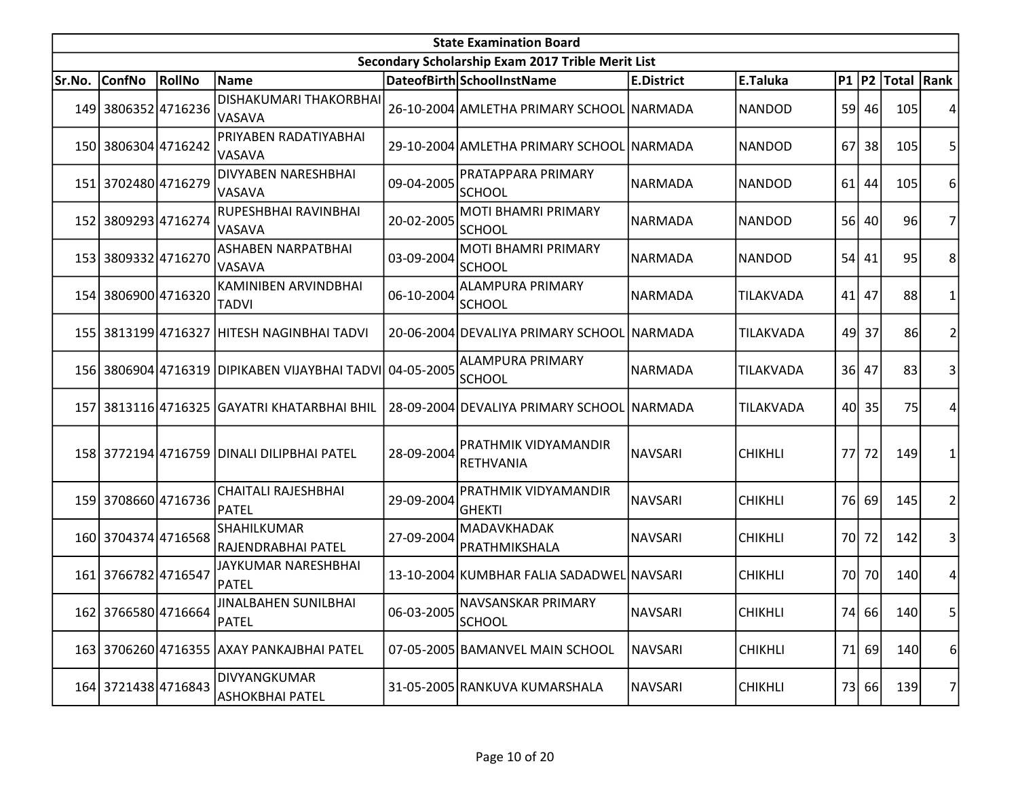|        | <b>State Examination Board</b><br>Secondary Scholarship Exam 2017 Trible Merit List |        |                                                          |            |                                              |                   |                |      |         |                        |   |  |  |
|--------|-------------------------------------------------------------------------------------|--------|----------------------------------------------------------|------------|----------------------------------------------|-------------------|----------------|------|---------|------------------------|---|--|--|
|        |                                                                                     |        |                                                          |            |                                              |                   |                |      |         |                        |   |  |  |
| Sr.No. | <b>ConfNo</b>                                                                       | RollNo | <b>Name</b>                                              |            | DateofBirth SchoolInstName                   | <b>E.District</b> | E.Taluka       |      |         | P1   P2   Total   Rank |   |  |  |
|        | 149 3806352 4716236                                                                 |        | DISHAKUMARI THAKORBHAI<br><b>VASAVA</b>                  |            | 26-10-2004 AMLETHA PRIMARY SCHOOL NARMADA    |                   | <b>NANDOD</b>  |      | 59 46   | 105                    |   |  |  |
|        | 150 3806304 4716242                                                                 |        | PRIYABEN RADATIYABHAI<br><b>VASAVA</b>                   |            | 29-10-2004 AMLETHA PRIMARY SCHOOL NARMADA    |                   | <b>NANDOD</b>  |      | 67 38   | 105                    | 5 |  |  |
|        | 151 3702480 4716279                                                                 |        | DIVYABEN NARESHBHAI<br>VASAVA                            | 09-04-2005 | PRATAPPARA PRIMARY<br><b>SCHOOL</b>          | NARMADA           | <b>NANDOD</b>  |      | $61$ 44 | 105                    | 6 |  |  |
|        | 152 3809293 4716274                                                                 |        | RUPESHBHAI RAVINBHAI<br><b>VASAVA</b>                    | 20-02-2005 | <b>MOTI BHAMRI PRIMARY</b><br><b>SCHOOL</b>  | NARMADA           | <b>NANDOD</b>  |      | 56 40   | 96                     | 7 |  |  |
|        | 153 3809332 4716270                                                                 |        | ASHABEN NARPATBHAI<br><b>VASAVA</b>                      | 03-09-2004 | <b>MOTI BHAMRI PRIMARY</b><br><b>SCHOOL</b>  | NARMADA           | <b>NANDOD</b>  |      | 54 41   | 95                     | 8 |  |  |
|        | 154 3806900 4716320                                                                 |        | KAMINIBEN ARVINDBHAI<br><b>TADVI</b>                     | 06-10-2004 | <b>ALAMPURA PRIMARY</b><br><b>SCHOOL</b>     | NARMADA           | TILAKVADA      |      | 41 47   | 88                     |   |  |  |
|        |                                                                                     |        | 155 3813199 4716327 HITESH NAGINBHAI TADVI               |            | 20-06-2004 DEVALIYA PRIMARY SCHOOL NARMADA   |                   | TILAKVADA      | 49   | 37      | 86                     |   |  |  |
|        |                                                                                     |        | 156 3806904 4716319 DIPIKABEN VIJAYBHAI TADVI 04-05-2005 |            | <b>ALAMPURA PRIMARY</b><br><b>SCHOOL</b>     | <b>NARMADA</b>    | TILAKVADA      |      | 36 47   | 83                     | 3 |  |  |
|        |                                                                                     |        | 157 3813116 4716325 GAYATRI KHATARBHAI BHIL              |            | 28-09-2004 DEVALIYA PRIMARY SCHOOL NARMADA   |                   | TILAKVADA      |      | 40 35   | 75                     |   |  |  |
|        |                                                                                     |        | 158 3772194 4716759 DINALI DILIPBHAI PATEL               | 28-09-2004 | PRATHMIK VIDYAMANDIR<br><b>RETHVANIA</b>     | <b>NAVSARI</b>    | <b>CHIKHLI</b> | 77 l | 72      | 149                    |   |  |  |
|        | 159 3708660 4716736                                                                 |        | <b>CHAITALI RAJESHBHAI</b><br>PATEL                      | 29-09-2004 | <b>PRATHMIK VIDYAMANDIR</b><br><b>GHEKTI</b> | <b>NAVSARI</b>    | <b>CHIKHLI</b> |      | 76 69   | 145                    | 2 |  |  |
|        | 160 3704374 4716568                                                                 |        | SHAHILKUMAR<br> RAJENDRABHAI PATEL                       | 27-09-2004 | MADAVKHADAK<br>PRATHMIKSHALA                 | <b>NAVSARI</b>    | <b>CHIKHLI</b> |      | 70 72   | 142                    | 3 |  |  |
|        | 161 3766782 4716547                                                                 |        | JAYKUMAR NARESHBHAI<br>PATEL                             |            | 13-10-2004 KUMBHAR FALIA SADADWEL NAVSARI    |                   | <b>CHIKHLI</b> |      | 70 70   | 140                    | 4 |  |  |
|        | 162 3766580 4716664                                                                 |        | JINALBAHEN SUNILBHAI<br>PATEL                            | 06-03-2005 | INAVSANSKAR PRIMARY<br>SCHOOL                | NAVSARI           | <b>CHIKHLI</b> |      | 74 66   | 140                    | 5 |  |  |
|        |                                                                                     |        | 163 3706260 4716355 AXAY PANKAJBHAI PATEL                |            | 07-05-2005 BAMANVEL MAIN SCHOOL              | <b>NAVSARI</b>    | <b>CHIKHLI</b> | 71   | 69      | 140                    | 6 |  |  |
|        | 164 3721438 4716843                                                                 |        | DIVYANGKUMAR<br>ASHOKBHAI PATEL                          |            | 31-05-2005 RANKUVA KUMARSHALA                | <b>NAVSARI</b>    | <b>CHIKHLI</b> |      | 73 66   | 139                    | 7 |  |  |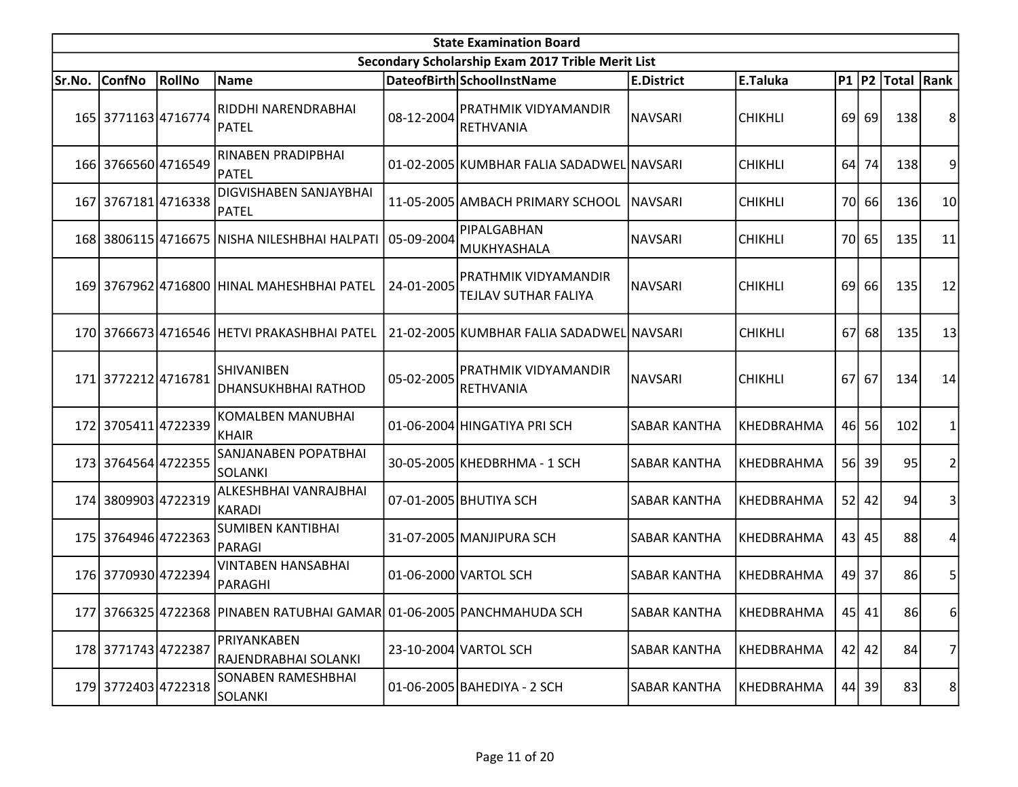|        | <b>State Examination Board</b> |        |                                                                       |            |                                                     |                     |                   |     |         |                  |                |  |  |
|--------|--------------------------------|--------|-----------------------------------------------------------------------|------------|-----------------------------------------------------|---------------------|-------------------|-----|---------|------------------|----------------|--|--|
|        |                                |        |                                                                       |            | Secondary Scholarship Exam 2017 Trible Merit List   |                     |                   |     |         |                  |                |  |  |
| Sr.No. | <b>ConfNo</b>                  | RollNo | Name                                                                  |            | DateofBirth SchoolInstName                          | <b>E.District</b>   | E.Taluka          |     |         | P1 P2 Total Rank |                |  |  |
|        | 165 3771163 4716774            |        | RIDDHI NARENDRABHAI<br>PATEL                                          | 08-12-2004 | <b>PRATHMIK VIDYAMANDIR</b><br><b>RETHVANIA</b>     | <b>NAVSARI</b>      | <b>CHIKHLI</b>    |     | 69 69   | 138              | 8              |  |  |
|        | 166 3766560 4716549            |        | RINABEN PRADIPBHAI<br>PATEL                                           |            | 01-02-2005 KUMBHAR FALIA SADADWEL NAVSARI           |                     | <b>CHIKHLI</b>    | 64  | 74      | 138              | 9              |  |  |
|        | 167 3767181 4716338            |        | <b>DIGVISHABEN SANJAYBHAI</b><br>PATEL                                |            | 11-05-2005 AMBACH PRIMARY SCHOOL                    | <b>NAVSARI</b>      | <b>CHIKHLI</b>    |     | 70 66   | 136              | 10             |  |  |
|        |                                |        | 168 3806115 4716675 NISHA NILESHBHAI HALPATI                          | 05-09-2004 | PIPALGABHAN<br>MUKHYASHALA                          | <b>NAVSARI</b>      | <b>CHIKHLI</b>    |     | 70 65   | 135              | 11             |  |  |
|        |                                |        | 169 3767962 4716800 HINAL MAHESHBHAI PATEL                            | 24-01-2005 | <b>PRATHMIK VIDYAMANDIR</b><br>TEJLAV SUTHAR FALIYA | <b>NAVSARI</b>      | <b>CHIKHLI</b>    |     | 69 66   | 135              | 12             |  |  |
|        |                                |        | 170 3766673 4716546 HETVI PRAKASHBHAI PATEL                           |            | 21-02-2005 KUMBHAR FALIA SADADWEL NAVSARI           |                     | <b>CHIKHLI</b>    | 67  | 68      | 135              | 13             |  |  |
|        | 171 3772212 4716781            |        | ISHIVANIBEN<br><b>DHANSUKHBHAI RATHOD</b>                             | 05-02-2005 | PRATHMIK VIDYAMANDIR<br><b>RETHVANIA</b>            | <b>NAVSARI</b>      | <b>CHIKHLI</b>    | 67I | 67      | 134              | 14             |  |  |
|        | 172 3705411 4722339            |        | <b>KOMALBEN MANUBHAI</b><br>KHAIR                                     |            | 01-06-2004 HINGATIYA PRI SCH                        | <b>SABAR KANTHA</b> | KHEDBRAHMA        |     | 46 56   | 102              |                |  |  |
|        | 173 3764564 4722355            |        | SANJANABEN POPATBHAI<br>lsolanki                                      |            | 30-05-2005 KHEDBRHMA - 1 SCH                        | <b>SABAR KANTHA</b> | KHEDBRAHMA        |     | 56 39   | 95               | $\overline{2}$ |  |  |
|        | 174 3809903 4722319            |        | ALKESHBHAI VANRAJBHAI<br>KARADI                                       |            | 07-01-2005 BHUTIYA SCH                              | <b>SABAR KANTHA</b> | KHEDBRAHMA        |     | 52 42   | 94               | 3              |  |  |
|        | 175 3764946 4722363            |        | <b>SUMIBEN KANTIBHAI</b><br>PARAGI                                    |            | 31-07-2005 MANJIPURA SCH                            | <b>SABAR KANTHA</b> | KHEDBRAHMA        |     | 43 45   | 88               | 4              |  |  |
|        | 176 3770930 4722394            |        | <b>VINTABEN HANSABHAI</b><br>PARAGHI                                  |            | 01-06-2000 VARTOL SCH                               | <b>SABAR KANTHA</b> | KHEDBRAHMA        |     | 49 37   | 86               | 5              |  |  |
|        |                                |        | 177 3766325 4722368 PINABEN RATUBHAI GAMAR 01-06-2005 PANCHMAHUDA SCH |            |                                                     | SABAR KANTHA        | <b>KHEDBRAHMA</b> |     | $45$ 41 | 86I              | 6              |  |  |
|        | 178 3771743 4722387            |        | PRIYANKABEN<br>RAJENDRABHAI SOLANKI                                   |            | 23-10-2004 VARTOL SCH                               | SABAR KANTHA        | KHEDBRAHMA        |     | $42$ 42 | 84               | 7              |  |  |
|        | 179 3772403 4722318            |        | SONABEN RAMESHBHAI<br>SOLANKI                                         |            | 01-06-2005 BAHEDIYA - 2 SCH                         | SABAR KANTHA        | KHEDBRAHMA        |     | 44 39   | 83               | 8 <sup>1</sup> |  |  |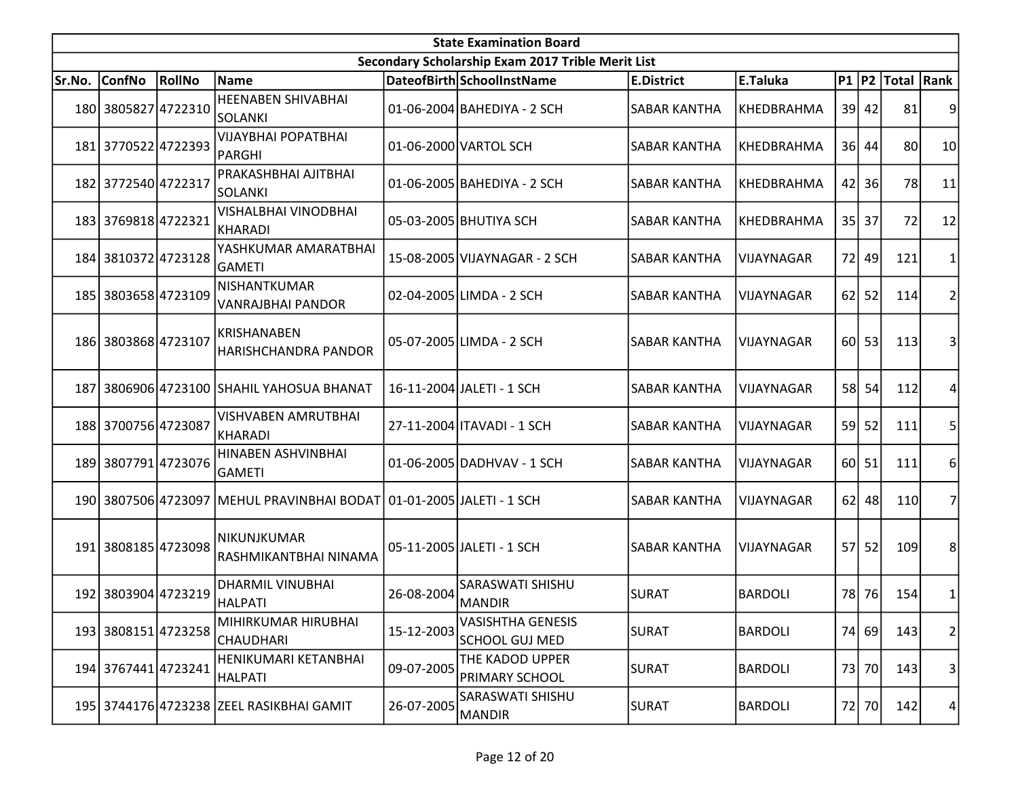|        | <b>State Examination Board</b><br>Secondary Scholarship Exam 2017 Trible Merit List |        |                                                                      |            |                                                   |                     |                   |    |           |                  |                |  |  |  |
|--------|-------------------------------------------------------------------------------------|--------|----------------------------------------------------------------------|------------|---------------------------------------------------|---------------------|-------------------|----|-----------|------------------|----------------|--|--|--|
|        |                                                                                     |        |                                                                      |            |                                                   |                     |                   |    |           |                  |                |  |  |  |
| Sr.No. | <b>ConfNo</b>                                                                       | RollNo | <b>Name</b>                                                          |            | DateofBirth SchoolInstName                        | <b>E.District</b>   | E.Taluka          |    |           | P1 P2 Total Rank |                |  |  |  |
|        | 180 3805827 4722310                                                                 |        | <b>HEENABEN SHIVABHAI</b><br>SOLANKI                                 |            | 01-06-2004 BAHEDIYA - 2 SCH                       | <b>SABAR KANTHA</b> | KHEDBRAHMA        |    | $39$ 42   | 81               |                |  |  |  |
|        | 181 3770522 4722393                                                                 |        | <b>VIJAYBHAI POPATBHAI</b><br><b>PARGHI</b>                          |            | 01-06-2000 VARTOL SCH                             | SABAR KANTHA        | KHEDBRAHMA        |    | 36 44     | 80               | 10             |  |  |  |
|        | 182 3772540 4722317                                                                 |        | PRAKASHBHAI AJITBHAI<br>SOLANKI                                      |            | 01-06-2005 BAHEDIYA - 2 SCH                       | <b>SABAR KANTHA</b> | KHEDBRAHMA        | 42 | 36        | 78               | 11             |  |  |  |
|        | 183 3769818 4722321                                                                 |        | VISHALBHAI VINODBHAI<br><b>KHARADI</b>                               |            | 05-03-2005 BHUTIYA SCH                            | <b>SABAR KANTHA</b> | KHEDBRAHMA        |    | 35 37     | 72               | 12             |  |  |  |
|        | 184 3810372 4723128                                                                 |        | YASHKUMAR AMARATBHAI<br><b>GAMETI</b>                                |            | 15-08-2005 VIJAYNAGAR - 2 SCH                     | SABAR KANTHA        | <b>VIJAYNAGAR</b> |    | 72 49     | 121              |                |  |  |  |
|        | 185 3803658 4723109                                                                 |        | NISHANTKUMAR<br><b>VANRAJBHAI PANDOR</b>                             |            | 02-04-2005 LIMDA - 2 SCH                          | SABAR KANTHA        | VIJAYNAGAR        |    | $62$   52 | 114              | 2              |  |  |  |
|        | 186 3803868 4723107                                                                 |        | KRISHANABEN<br>HARISHCHANDRA PANDOR                                  |            | 05-07-2005 LIMDA - 2 SCH                          | <b>SABAR KANTHA</b> | VIJAYNAGAR        |    | 60 53     | 113              |                |  |  |  |
| 187I   |                                                                                     |        | 3806906 4723100 SHAHIL YAHOSUA BHANAT                                |            | 16-11-2004 JALETI - 1 SCH                         | <b>SABAR KANTHA</b> | <b>VIJAYNAGAR</b> |    | 58 54     | 112              | 4              |  |  |  |
|        | 188 3700756 4723087                                                                 |        | VISHVABEN AMRUTBHAI<br>KHARADI                                       |            | 27-11-2004   ITAVADI - 1 SCH                      | SABAR KANTHA        | VIJAYNAGAR        | 59 | 52        | 111              | 5              |  |  |  |
|        | 189 3807791 4723076                                                                 |        | HINABEN ASHVINBHAI<br><b>GAMETI</b>                                  |            | 01-06-2005 DADHVAV - 1 SCH                        | <b>SABAR KANTHA</b> | VIJAYNAGAR        |    | 60 51     | 111              | 6              |  |  |  |
|        |                                                                                     |        | 190 3807506 4723097 MEHUL PRAVINBHAI BODAT 01-01-2005 JALETI - 1 SCH |            |                                                   | <b>SABAR KANTHA</b> | VIJAYNAGAR        |    | $62$   48 | 110              | 7              |  |  |  |
|        | 191 3808185 4723098                                                                 |        | <b>NIKUNJKUMAR</b><br>RASHMIKANTBHAI NINAMA                          |            | 05-11-2005 JALETI - 1 SCH                         | <b>SABAR KANTHA</b> | VIJAYNAGAR        |    | 57 52     | 109              | 8              |  |  |  |
|        | 192 3803904 4723219                                                                 |        | <b>DHARMIL VINUBHAI</b><br>HALPATI                                   | 26-08-2004 | SARASWATI SHISHU<br>MANDIR                        | <b>SURAT</b>        | <b>BARDOLI</b>    |    | 78 76     | 154              | 1              |  |  |  |
|        | 193 3808151 4723258                                                                 |        | MIHIRKUMAR HIRUBHAI<br><b>CHAUDHARI</b>                              | 15-12-2003 | <b>VASISHTHA GENESIS</b><br><b>SCHOOL GUJ MED</b> | <b>SURAT</b>        | BARDOLI           |    | 74 69     | 143              | $\overline{2}$ |  |  |  |
|        | 194 3767441 4723241                                                                 |        | HENIKUMARI KETANBHAI<br><b>HALPATI</b>                               | 09-07-2005 | THE KADOD UPPER<br>PRIMARY SCHOOL                 | <b>SURAT</b>        | <b>BARDOLI</b>    |    | 73 70     | 143              | $\overline{3}$ |  |  |  |
|        |                                                                                     |        | 195 3744176 4723238 ZEEL RASIKBHAI GAMIT                             | 26-07-2005 | SARASWATI SHISHU<br>MANDIR                        | <b>SURAT</b>        | <b>BARDOLI</b>    |    | 72 70     | 142              | 4              |  |  |  |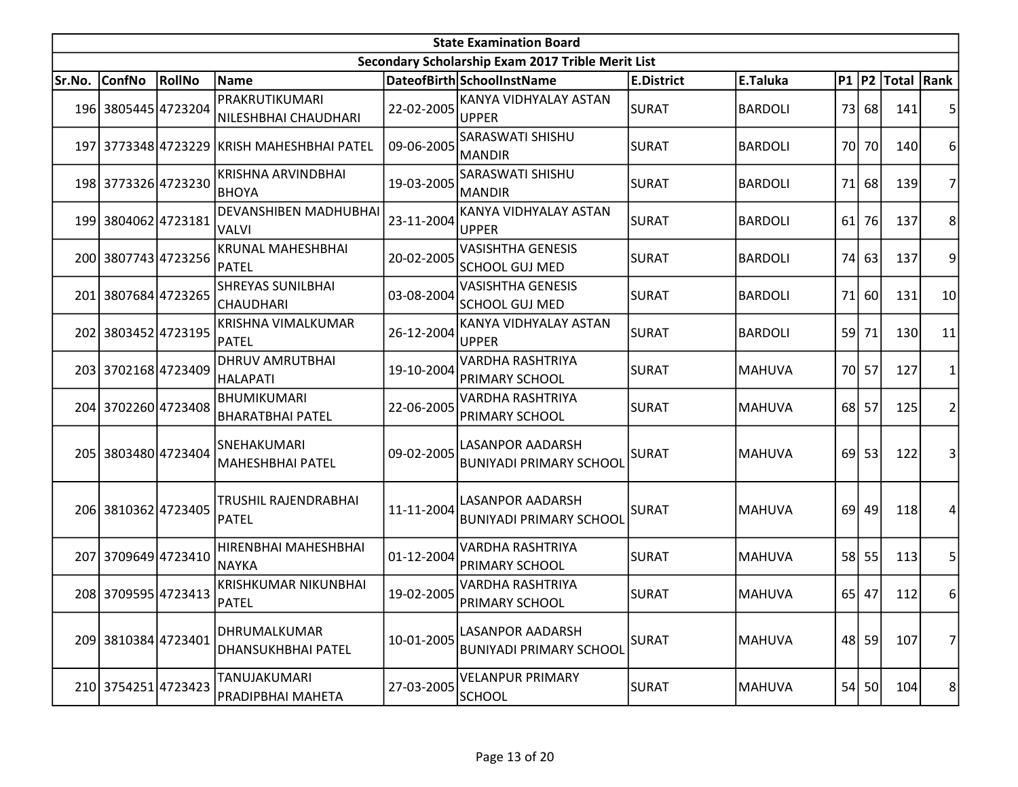|        |                     |               |                                               |            | <b>State Examination Board</b>                            |                   |                |    |       |                  |                |
|--------|---------------------|---------------|-----------------------------------------------|------------|-----------------------------------------------------------|-------------------|----------------|----|-------|------------------|----------------|
|        |                     |               |                                               |            | Secondary Scholarship Exam 2017 Trible Merit List         |                   |                |    |       |                  |                |
| Sr.No. | <b>ConfNo</b>       | <b>RollNo</b> | Name                                          |            | DateofBirth SchoolInstName                                | <b>E.District</b> | E.Taluka       |    |       | P1 P2 Total Rank |                |
|        | 196 3805445 4723204 |               | PRAKRUTIKUMARI<br>NILESHBHAI CHAUDHARI        | 22-02-2005 | KANYA VIDHYALAY ASTAN<br><b>UPPER</b>                     | <b>SURAT</b>      | <b>BARDOLI</b> |    | 73 68 | 141              | 5 <sup>1</sup> |
|        |                     |               | 197 3773348 4723229 KRISH MAHESHBHAI PATEL    | 09-06-2005 | SARASWATI SHISHU<br><b>MANDIR</b>                         | <b>SURAT</b>      | <b>BARDOLI</b> |    | 70 70 | 140              | $6 \mid$       |
|        | 198 3773326 4723230 |               | KRISHNA ARVINDBHAI<br><b>BHOYA</b>            | 19-03-2005 | SARASWATI SHISHU<br><b>MANDIR</b>                         | <b>SURAT</b>      | <b>BARDOLI</b> | 71 | 68    | 139              | $\overline{7}$ |
|        | 199 3804062 4723181 |               | <b>DEVANSHIBEN MADHUBHAI</b><br>VALVI         | 23-11-2004 | KANYA VIDHYALAY ASTAN<br><b>UPPER</b>                     | <b>SURAT</b>      | <b>BARDOLI</b> | 61 | 76    | 137              | 8 <sup>°</sup> |
|        | 200 3807743 4723256 |               | <b>KRUNAL MAHESHBHAI</b><br>PATEL             | 20-02-2005 | <b>VASISHTHA GENESIS</b><br><b>SCHOOL GUJ MED</b>         | <b>SURAT</b>      | <b>BARDOLI</b> | 74 | 63    | 137              | $\overline{9}$ |
|        | 201 3807684 4723265 |               | <b>SHREYAS SUNILBHAI</b><br> CHAUDHARI        | 03-08-2004 | <b>VASISHTHA GENESIS</b><br><b>SCHOOL GUJ MED</b>         | <b>SURAT</b>      | <b>BARDOLI</b> | 71 | 60    | 131              | 10             |
|        | 202 3803452 4723195 |               | <b>KRISHNA VIMALKUMAR</b><br><b>PATEL</b>     | 26-12-2004 | KANYA VIDHYALAY ASTAN<br><b>UPPER</b>                     | <b>SURAT</b>      | <b>BARDOLI</b> | 59 | 71    | 130              | 11             |
|        | 203 3702168 4723409 |               | <b>DHRUV AMRUTBHAI</b><br> HALAPATI           | 19-10-2004 | VARDHA RASHTRIYA<br>PRIMARY SCHOOL                        | <b>SURAT</b>      | <b>MAHUVA</b>  |    | 70 57 | 127              | 1              |
|        | 204 3702260 4723408 |               | <b>BHUMIKUMARI</b><br><b>BHARATBHAI PATEL</b> | 22-06-2005 | VARDHA RASHTRIYA<br>PRIMARY SCHOOL                        | <b>SURAT</b>      | <b>MAHUVA</b>  |    | 68 57 | 125              | $\overline{2}$ |
|        | 205 3803480 4723404 |               | ISNEHAKUMARI<br>MAHESHBHAI PATEL              | 09-02-2005 | <b>LASANPOR AADARSH</b><br><b>BUNIYADI PRIMARY SCHOOL</b> | <b>SURAT</b>      | MAHUVA         | 69 | 53    | 122              | $\overline{3}$ |
|        | 206 3810362 4723405 |               | TRUSHIL RAJENDRABHAI<br>PATEL                 | 11-11-2004 | <b>LASANPOR AADARSH</b><br><b>BUNIYADI PRIMARY SCHOOL</b> | <b>SURAT</b>      | <b>MAHUVA</b>  | 69 | 49    | 118              | 4              |
| 207    | 3709649 4723410     |               | HIRENBHAI MAHESHBHAI<br><b>NAYKA</b>          | 01-12-2004 | VARDHA RASHTRIYA<br><b>PRIMARY SCHOOL</b>                 | <b>SURAT</b>      | <b>MAHUVA</b>  | 58 | 55    | 113              | 5              |
|        | 208 3709595 4723413 |               | <b>KRISHKUMAR NIKUNBHAI</b><br><b>PATEL</b>   | 19-02-2005 | VARDHA RASHTRIYA<br><b>PRIMARY SCHOOL</b>                 | <b>SURAT</b>      | <b>MAHUVA</b>  |    | 65 47 | 112              | 6              |
|        | 209 3810384 4723401 |               | DHRUMALKUMAR<br><b>DHANSUKHBHAI PATEL</b>     | 10-01-2005 | <b>LASANPOR AADARSH</b><br><b>BUNIYADI PRIMARY SCHOOL</b> | <b>SURAT</b>      | MAHUVA         |    | 48 59 | 107              | 7              |
|        | 210 3754251 4723423 |               | TANUJAKUMARI<br>PRADIPBHAI MAHETA             | 27-03-2005 | <b>VELANPUR PRIMARY</b><br><b>SCHOOL</b>                  | <b>SURAT</b>      | <b>MAHUVA</b>  | 54 | 50    | 104              | 8 <sup>2</sup> |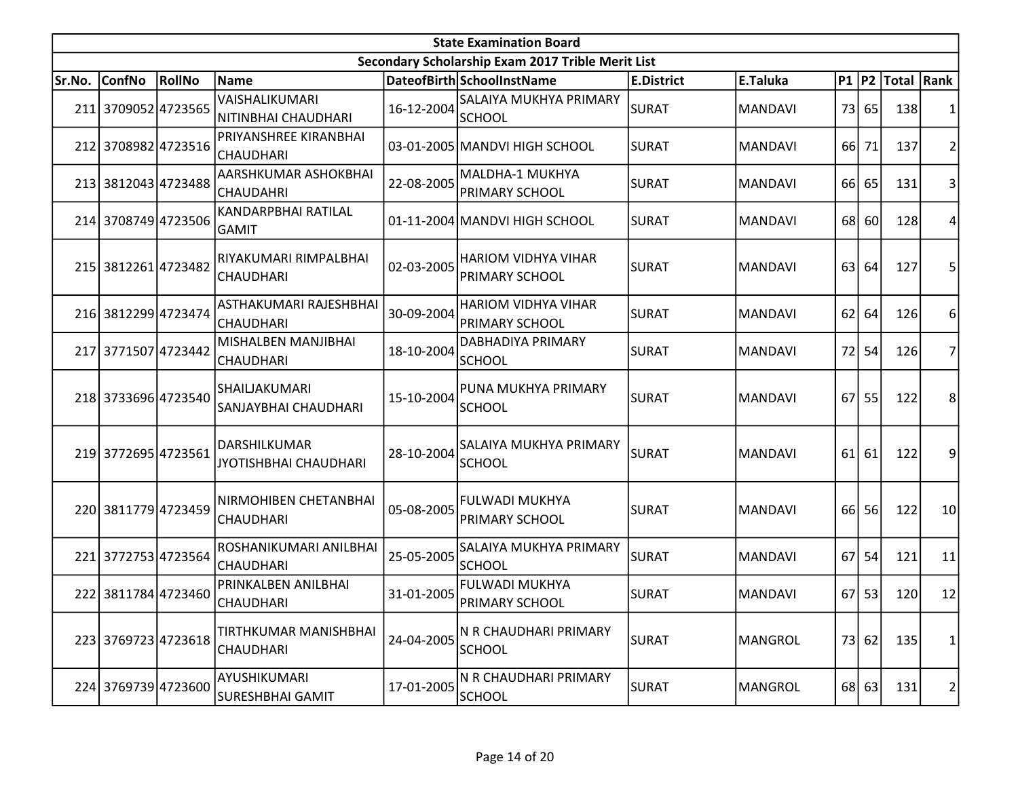|        |                     |        |                                                     |            | <b>State Examination Board</b>                      |                   |                |      |           |                     |                |
|--------|---------------------|--------|-----------------------------------------------------|------------|-----------------------------------------------------|-------------------|----------------|------|-----------|---------------------|----------------|
|        |                     |        |                                                     |            | Secondary Scholarship Exam 2017 Trible Merit List   |                   |                |      |           |                     |                |
| Sr.No. | <b>ConfNo</b>       | RollNo | Name                                                |            | DateofBirth SchoolInstName                          | <b>E.District</b> | E.Taluka       |      |           | P1  P2  Total  Rank |                |
|        | 211 3709052 4723565 |        | VAISHALIKUMARI<br>NITINBHAI CHAUDHARI               | 16-12-2004 | <b>SALAIYA MUKHYA PRIMARY</b><br>SCHOOL             | <b>SURAT</b>      | <b>MANDAVI</b> |      | 73 65     | 138                 | 1              |
|        | 212 3708982 4723516 |        | PRIYANSHREE KIRANBHAI<br> CHAUDHARI                 |            | 03-01-2005 MANDVI HIGH SCHOOL                       | SURAT             | <b>MANDAVI</b> | 66I  | 71        | 137                 | $\overline{2}$ |
|        | 213 3812043 4723488 |        | AARSHKUMAR ASHOKBHAI<br> CHAUDAHRI                  | 22-08-2005 | MALDHA-1 MUKHYA<br>PRIMARY SCHOOL                   | <b>SURAT</b>      | <b>MANDAVI</b> | 66 l | 65        | 131                 | 3              |
|        | 214 3708749 4723506 |        | KANDARPBHAI RATILAL<br><b>GAMIT</b>                 |            | 01-11-2004 MANDVI HIGH SCHOOL                       | <b>SURAT</b>      | <b>MANDAVI</b> | 68   | <b>60</b> | 128                 | 4              |
|        | 215 3812261 4723482 |        | RIYAKUMARI RIMPALBHAI<br><b>CHAUDHARI</b>           | 02-03-2005 | HARIOM VIDHYA VIHAR<br>PRIMARY SCHOOL               | <b>SURAT</b>      | <b>MANDAVI</b> | 63   | 64        | 127                 | 5              |
|        | 216 3812299 4723474 |        | ASTHAKUMARI RAJESHBHAI<br>CHAUDHARI                 | 30-09-2004 | <b>HARIOM VIDHYA VIHAR</b><br><b>PRIMARY SCHOOL</b> | <b>SURAT</b>      | <b>MANDAVI</b> | 62   | 64        | 126                 | 6              |
|        | 217 3771507 4723442 |        | MISHALBEN MANJIBHAI<br>CHAUDHARI                    | 18-10-2004 | DABHADIYA PRIMARY<br><b>SCHOOL</b>                  | <b>SURAT</b>      | <b>MANDAVI</b> | 72   | 54        | 126                 | $\overline{7}$ |
|        | 218 3733696 4723540 |        | SHAILJAKUMARI<br>SANJAYBHAI CHAUDHARI               | 15-10-2004 | PUNA MUKHYA PRIMARY<br>SCHOOL                       | SURAT             | <b>MANDAVI</b> | 67   | 55        | 122                 | 8              |
|        | 219 3772695 4723561 |        | <b>DARSHILKUMAR</b><br><b>JYOTISHBHAI CHAUDHARI</b> | 28-10-2004 | SALAIYA MUKHYA PRIMARY<br><b>SCHOOL</b>             | <b>SURAT</b>      | <b>MANDAVI</b> | 61   | 61        | 122                 | 9              |
|        | 220 3811779 4723459 |        | NIRMOHIBEN CHETANBHAI<br><b>CHAUDHARI</b>           | 05-08-2005 | <b>FULWADI MUKHYA</b><br><b>PRIMARY SCHOOL</b>      | <b>SURAT</b>      | <b>MANDAVI</b> | 66   | 56        | 122                 | 10             |
| 221    | 37727534723564      |        | ROSHANIKUMARI ANILBHAI<br><b>CHAUDHARI</b>          | 25-05-2005 | SALAIYA MUKHYA PRIMARY<br><b>SCHOOL</b>             | <b>SURAT</b>      | <b>MANDAVI</b> | 67   | 54        | 121                 | 11             |
| 2221   | 3811784 4723460     |        | PRINKALBEN ANILBHAI<br><b>CHAUDHARI</b>             | 31-01-2005 | <b>FULWADI MUKHYA</b><br><b>PRIMARY SCHOOL</b>      | <b>SURAT</b>      | <b>MANDAVI</b> | 67   | 53        | 120                 | 12             |
|        | 223 3769723 4723618 |        | TIRTHKUMAR MANISHBHAI<br> CHAUDHARI                 | 24-04-2005 | N R CHAUDHARI PRIMARY<br><b>SCHOOL</b>              | <b>SURAT</b>      | <b>MANGROL</b> |      | 73 62     | 135                 | 1              |
|        | 224 3769739 4723600 |        | AYUSHIKUMARI<br>SURESHBHAI GAMIT                    | 17-01-2005 | N R CHAUDHARI PRIMARY<br><b>SCHOOL</b>              | <b>SURAT</b>      | <b>MANGROL</b> |      | 68 63     | 131                 | $\overline{2}$ |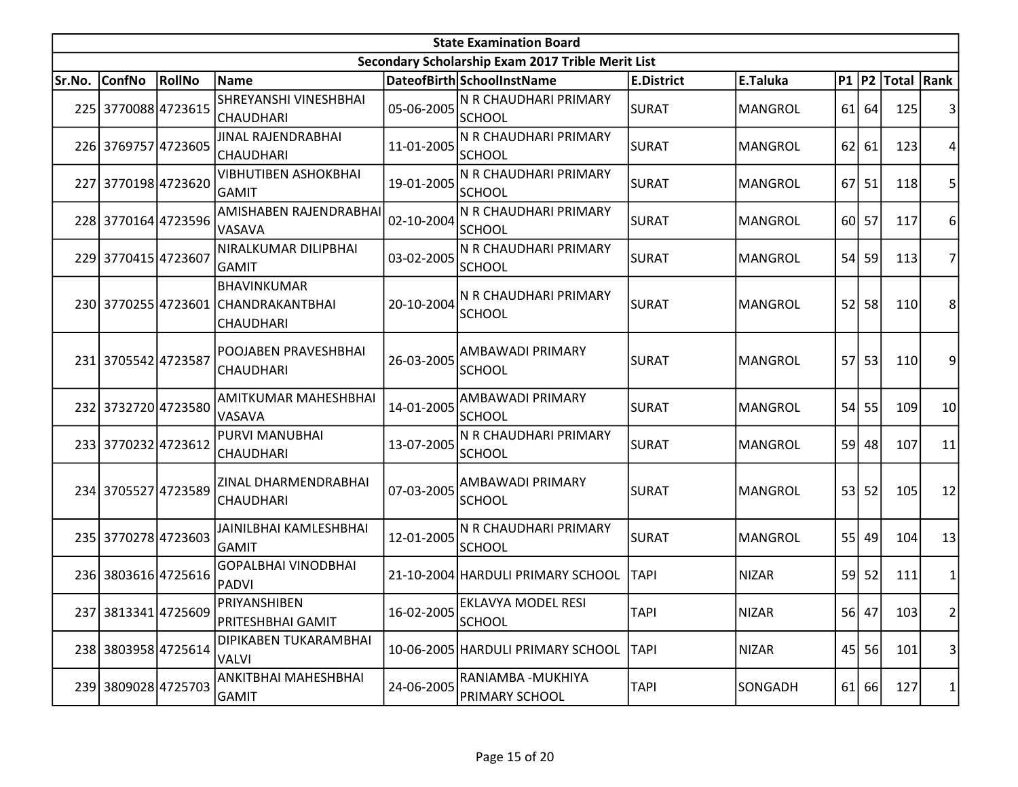|        | <b>State Examination Board</b> |        |                                                                               |            |                                                   |                   |                |           |           |                  |                |  |  |  |
|--------|--------------------------------|--------|-------------------------------------------------------------------------------|------------|---------------------------------------------------|-------------------|----------------|-----------|-----------|------------------|----------------|--|--|--|
|        |                                |        |                                                                               |            | Secondary Scholarship Exam 2017 Trible Merit List |                   |                |           |           |                  |                |  |  |  |
| Sr.No. | <b>ConfNo</b>                  | RollNo | Name                                                                          |            | DateofBirth SchoolInstName                        | <b>E.District</b> | E.Taluka       |           |           | P1 P2 Total Rank |                |  |  |  |
|        | 225 3770088 4723615            |        | SHREYANSHI VINESHBHAI<br> CHAUDHARI                                           | 05-06-2005 | N R CHAUDHARI PRIMARY<br><b>SCHOOL</b>            | <b>SURAT</b>      | <b>MANGROL</b> |           | $61$ 64   | 125              | 3              |  |  |  |
|        | 226 3769757 4723605            |        | JINAL RAJENDRABHAI<br><b>CHAUDHARI</b>                                        | 11-01-2005 | N R CHAUDHARI PRIMARY<br><b>SCHOOL</b>            | SURAT             | <b>MANGROL</b> |           | 62 61     | 123              | 4              |  |  |  |
|        | 227 3770198 4723620            |        | <b>VIBHUTIBEN ASHOKBHAI</b><br>GAMIT                                          | 19-01-2005 | N R CHAUDHARI PRIMARY<br><b>SCHOOL</b>            | <b>SURAT</b>      | <b>MANGROL</b> | <b>67</b> | 51        | 118              | 5              |  |  |  |
|        | 228 3770164 4723596            |        | AMISHABEN RAJENDRABHAI<br><b>VASAVA</b>                                       | 02-10-2004 | N R CHAUDHARI PRIMARY<br><b>SCHOOL</b>            | <b>SURAT</b>      | <b>MANGROL</b> |           | 60 57     | 117              | 6              |  |  |  |
|        | 229 3770415 4723607            |        | NIRALKUMAR DILIPBHAI<br>GAMIT                                                 | 03-02-2005 | N R CHAUDHARI PRIMARY<br><b>SCHOOL</b>            | <b>SURAT</b>      | <b>MANGROL</b> | 54        | 59        | 113              | 7              |  |  |  |
|        |                                |        | <b>BHAVINKUMAR</b><br>230 3770255 4723601 CHANDRAKANTBHAI<br><b>CHAUDHARI</b> | 20-10-2004 | N R CHAUDHARI PRIMARY<br><b>SCHOOL</b>            | <b>SURAT</b>      | <b>MANGROL</b> | 52        | 58        | 110              | 8              |  |  |  |
|        | 231 3705542 4723587            |        | POOJABEN PRAVESHBHAI<br><b>CHAUDHARI</b>                                      | 26-03-2005 | AMBAWADI PRIMARY<br><b>SCHOOL</b>                 | <b>SURAT</b>      | <b>MANGROL</b> | 57        | 53        | 110              | 9              |  |  |  |
|        | 232 3732720 4723580            |        | AMITKUMAR MAHESHBHAI<br><b>VASAVA</b>                                         | 14-01-2005 | AMBAWADI PRIMARY<br><b>SCHOOL</b>                 | <b>SURAT</b>      | <b>MANGROL</b> | 54        | 55        | 109              | 10             |  |  |  |
|        | 233 3770232 4723612            |        | PURVI MANUBHAI<br><b>CHAUDHARI</b>                                            | 13-07-2005 | N R CHAUDHARI PRIMARY<br><b>SCHOOL</b>            | <b>SURAT</b>      | <b>MANGROL</b> | 59        | 48        | 107              | 11             |  |  |  |
|        | 234 3705527 4723589            |        | ZINAL DHARMENDRABHAI<br>CHAUDHARI                                             | 07-03-2005 | AMBAWADI PRIMARY<br><b>SCHOOL</b>                 | <b>SURAT</b>      | <b>MANGROL</b> | 53        | 52        | 105              | 12             |  |  |  |
|        | 235 3770278 4723603            |        | JAINILBHAI KAMLESHBHAI<br><b>GAMIT</b>                                        | 12-01-2005 | N R CHAUDHARI PRIMARY<br><b>SCHOOL</b>            | <b>SURAT</b>      | <b>MANGROL</b> | 55        | 49        | 104              | 13             |  |  |  |
|        | 236 3803616 4725616            |        | <b>GOPALBHAI VINODBHAI</b><br>PADVI                                           |            | 21-10-2004 HARDULI PRIMARY SCHOOL                 | <b>TAPI</b>       | <b>NIZAR</b>   |           | $59$ 52   | 111              | 1              |  |  |  |
|        | 237 3813341 4725609            |        | PRIYANSHIBEN<br>PRITESHBHAI GAMIT                                             | 16-02-2005 | <b>EKLAVYA MODEL RESI</b><br>SCHOOL               | <b>TAPI</b>       | NIZAR          |           | 56 47     | 103              | $\overline{2}$ |  |  |  |
|        | 238 3803958 4725614            |        | DIPIKABEN TUKARAMBHAI<br>VALVI                                                |            | 10-06-2005 HARDULI PRIMARY SCHOOL                 | <b>TAPI</b>       | <b>NIZAR</b>   |           | $45$   56 | 101              | 3              |  |  |  |
|        | 239 3809028 4725703            |        | ANKITBHAI MAHESHBHAI<br><b>GAMIT</b>                                          | 24-06-2005 | RANIAMBA - MUKHIYA<br><b>PRIMARY SCHOOL</b>       | <b>TAPI</b>       | SONGADH        |           | $61$ 66   | 127              | $\mathbf{1}$   |  |  |  |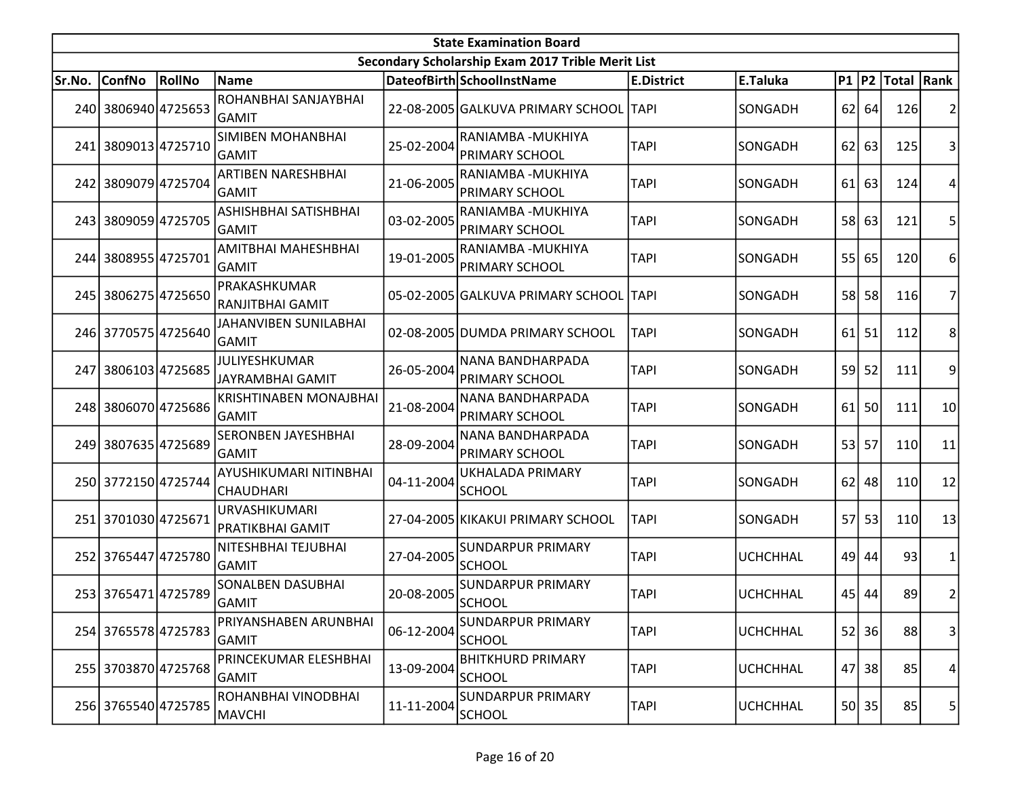|        |                     |        |                                                 |            | <b>State Examination Board</b>                    |                   |                 |    |           |                     |                         |
|--------|---------------------|--------|-------------------------------------------------|------------|---------------------------------------------------|-------------------|-----------------|----|-----------|---------------------|-------------------------|
|        |                     |        |                                                 |            | Secondary Scholarship Exam 2017 Trible Merit List |                   |                 |    |           |                     |                         |
| Sr.No. | <b>ConfNo</b>       | RollNo | <b>Name</b>                                     |            | DateofBirth SchoolInstName                        | <b>E.District</b> | E.Taluka        |    |           | P1  P2  Total  Rank |                         |
|        | 240 3806940 4725653 |        | ROHANBHAI SANJAYBHAI<br>lGAMIT                  |            | 22-08-2005 GALKUVA PRIMARY SCHOOL TAPI            |                   | SONGADH         |    | $62$ 64   | 126                 | 2                       |
|        | 241 3809013 4725710 |        | <b>SIMIBEN MOHANBHAI</b><br><b>GAMIT</b>        | 25-02-2004 | RANIAMBA - MUKHIYA<br><b>PRIMARY SCHOOL</b>       | <b>TAPI</b>       | SONGADH         | 62 | 63        | 125                 | 3                       |
|        | 242 3809079 4725704 |        | <b>ARTIBEN NARESHBHAI</b><br>GAMIT              | 21-06-2005 | RANIAMBA - MUKHIYA<br><b>PRIMARY SCHOOL</b>       | <b>TAPI</b>       | SONGADH         | 61 | 63        | 124                 | 4                       |
|        | 243 3809059 4725705 |        | ASHISHBHAI SATISHBHAI<br><b>GAMIT</b>           | 03-02-2005 | RANIAMBA - MUKHIYA<br>PRIMARY SCHOOL              | <b>TAPI</b>       | SONGADH         |    | 58 63     | 121                 | 5                       |
|        | 244 3808955 4725701 |        | AMITBHAI MAHESHBHAI<br>GAMIT                    | 19-01-2005 | RANIAMBA - MUKHIYA<br><b>PRIMARY SCHOOL</b>       | <b>TAPI</b>       | SONGADH         | 55 | 65        | 120                 | 6                       |
|        | 245 3806275 4725650 |        | PRAKASHKUMAR<br> RANJITBHAI GAMIT               |            | 05-02-2005 GALKUVA PRIMARY SCHOOL                 | <b>TAPI</b>       | SONGADH         | 58 | 58        | 116                 | 7                       |
|        | 246 3770575 4725640 |        | JAHANVIBEN SUNILABHAI<br><b>GAMIT</b>           |            | 02-08-2005 DUMDA PRIMARY SCHOOL                   | <b>TAPI</b>       | SONGADH         | 61 | 51        | 112                 | 8                       |
|        | 247 3806103 4725685 |        | <b>JULIYESHKUMAR</b><br><b>JAYRAMBHAI GAMIT</b> | 26-05-2004 | NANA BANDHARPADA<br><b>PRIMARY SCHOOL</b>         | <b>TAPI</b>       | SONGADH         | 59 | 52        | 111                 | 9                       |
|        | 248 3806070 4725686 |        | <b>KRISHTINABEN MONAJBHAI</b><br><b>GAMIT</b>   | 21-08-2004 | NANA BANDHARPADA<br>PRIMARY SCHOOL                | <b>TAPI</b>       | SONGADH         | 61 | 50        | 111                 | 10                      |
|        | 249 3807635 4725689 |        | <b>SERONBEN JAYESHBHAI</b><br>GAMIT             | 28-09-2004 | NANA BANDHARPADA<br><b>PRIMARY SCHOOL</b>         | <b>TAPI</b>       | SONGADH         | 53 | 57        | 110                 | 11                      |
|        | 250 3772150 4725744 |        | AYUSHIKUMARI NITINBHAI<br><b>CHAUDHARI</b>      | 04-11-2004 | UKHALADA PRIMARY<br><b>SCHOOL</b>                 | <b>TAPI</b>       | SONGADH         | 62 | 48        | 110                 | 12                      |
|        | 251 3701030 4725671 |        | URVASHIKUMARI<br><b>PRATIKBHAI GAMIT</b>        |            | 27-04-2005 KIKAKUI PRIMARY SCHOOL                 | <b>TAPI</b>       | SONGADH         | 57 | 53        | 110                 | 13                      |
|        | 252 3765447 4725780 |        | NITESHBHAI TEJUBHAI<br><b>GAMIT</b>             | 27-04-2005 | <b>SUNDARPUR PRIMARY</b><br><b>SCHOOL</b>         | <b>TAPI</b>       | <b>UCHCHHAL</b> |    | 49 44     | 93                  | 1                       |
|        | 253 3765471 4725789 |        | <b>SONALBEN DASUBHAI</b><br>GAMIT               | 20-08-2005 | <b>SUNDARPUR PRIMARY</b><br><b>SCHOOL</b>         | <b>TAPI</b>       | <b>UCHCHHAL</b> |    | $45$ 44   | 89                  | $\overline{\mathbf{c}}$ |
|        | 254 3765578 4725783 |        | PRIYANSHABEN ARUNBHAI<br><b>GAMIT</b>           | 06-12-2004 | <b>SUNDARPUR PRIMARY</b><br><b>SCHOOL</b>         | <b>TAPI</b>       | <b>UCHCHHAL</b> |    | $52$   36 | 88                  | $\vert 3 \vert$         |
|        | 255 3703870 4725768 |        | PRINCEKUMAR ELESHBHAI<br>GAMIT                  | 13-09-2004 | <b>BHITKHURD PRIMARY</b><br>SCHOOL                | <b>TAPI</b>       | <b>UCHCHHAL</b> | 47 | 38        | 85                  | 4                       |
|        | 256 3765540 4725785 |        | ROHANBHAI VINODBHAI<br>MAVCHI                   | 11-11-2004 | <b>SUNDARPUR PRIMARY</b><br><b>SCHOOL</b>         | <b>TAPI</b>       | <b>UCHCHHAL</b> |    | 50 35     | 85                  | 5                       |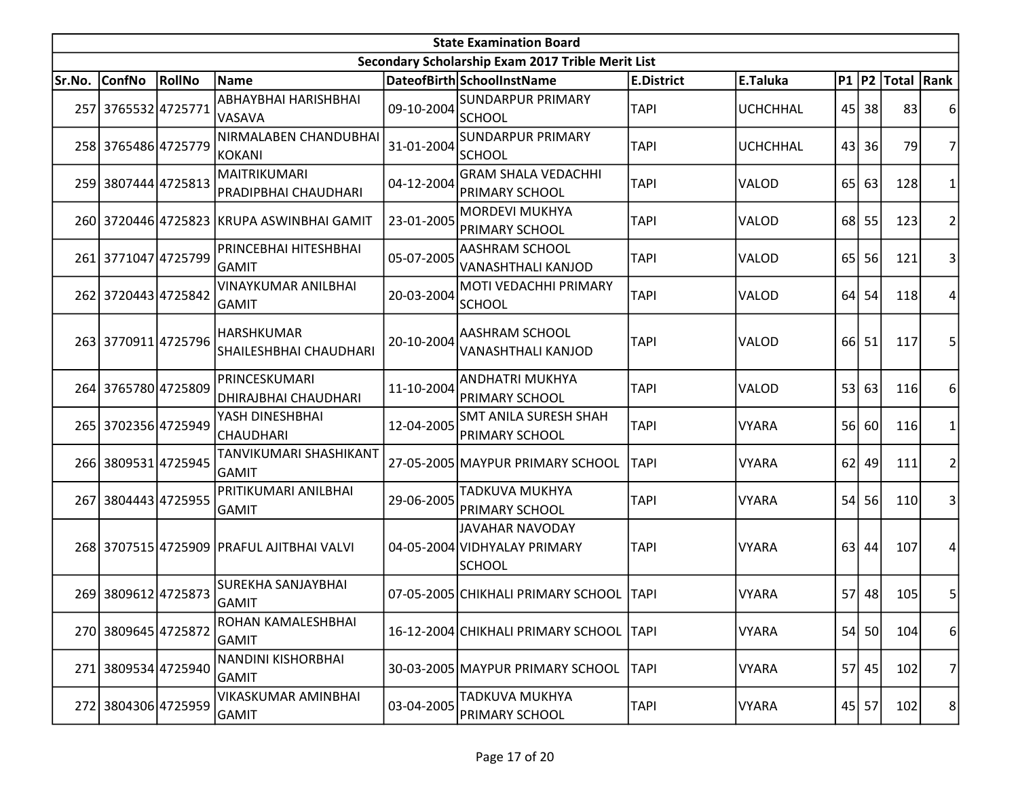|        |                     |        |                                              |            | <b>State Examination Board</b>                                          |                   |                 |                 |           |                     |                |
|--------|---------------------|--------|----------------------------------------------|------------|-------------------------------------------------------------------------|-------------------|-----------------|-----------------|-----------|---------------------|----------------|
|        |                     |        |                                              |            | Secondary Scholarship Exam 2017 Trible Merit List                       |                   |                 |                 |           |                     |                |
| Sr.No. | <b>ConfNo</b>       | RollNo | <b>Name</b>                                  |            | DateofBirth SchoolInstName                                              | <b>E.District</b> | E.Taluka        |                 |           | P1  P2  Total  Rank |                |
|        | 257 3765532 4725771 |        | ABHAYBHAI HARISHBHAI<br><b>VASAVA</b>        | 09-10-2004 | <b>SUNDARPUR PRIMARY</b><br><b>SCHOOL</b>                               | <b>TAPI</b>       | <b>UCHCHHAL</b> |                 | 45 38     | 83                  | 6              |
|        | 258 3765486 4725779 |        | NIRMALABEN CHANDUBHAI<br>KOKANI              | 31-01-2004 | <b>SUNDARPUR PRIMARY</b><br>SCHOOL                                      | <b>TAPI</b>       | <b>UCHCHHAL</b> |                 | 43 36     | 79                  | 7              |
|        | 259 3807444 4725813 |        | MAITRIKUMARI<br>PRADIPBHAI CHAUDHARI         | 04-12-2004 | <b>GRAM SHALA VEDACHHI</b><br><b>PRIMARY SCHOOL</b>                     | <b>TAPI</b>       | VALOD           | 65              | 63        | 128                 | 1              |
|        |                     |        | 260 3720446 4725823 KRUPA ASWINBHAI GAMIT    | 23-01-2005 | <b>MORDEVI MUKHYA</b><br>PRIMARY SCHOOL                                 | <b>TAPI</b>       | VALOD           | 68              | 55        | 123                 | 2              |
|        | 261 3771047 4725799 |        | PRINCEBHAI HITESHBHAI<br>GAMIT               | 05-07-2005 | <b>AASHRAM SCHOOL</b><br><b>VANASHTHALI KANJOD</b>                      | <b>TAPI</b>       | <b>VALOD</b>    | 65 <sup> </sup> | 56        | 121                 | 3              |
|        | 262 3720443 4725842 |        | <b>VINAYKUMAR ANILBHAI</b><br>GAMIT          | 20-03-2004 | MOTI VEDACHHI PRIMARY<br>SCHOOL                                         | <b>TAPI</b>       | <b>VALOD</b>    | 64              | 54        | 118                 | 4              |
|        | 263 3770911 4725796 |        | <b>HARSHKUMAR</b><br>SHAILESHBHAI CHAUDHARI  | 20-10-2004 | <b>AASHRAM SCHOOL</b><br><b>VANASHTHALI KANJOD</b>                      | <b>TAPI</b>       | VALOD           | 66 l            | 51        | 117                 | 5              |
|        | 264 3765780 4725809 |        | PRINCESKUMARI<br><b>DHIRAJBHAI CHAUDHARI</b> | 11-10-2004 | <b>ANDHATRI MUKHYA</b><br>PRIMARY SCHOOL                                | <b>TAPI</b>       | VALOD           | 53 <sup>1</sup> | 63        | 116                 | 6              |
|        | 265 3702356 4725949 |        | YASH DINESHBHAI<br><b>CHAUDHARI</b>          | 12-04-2005 | <b>SMT ANILA SURESH SHAH</b><br><b>PRIMARY SCHOOL</b>                   | <b>TAPI</b>       | <b>VYARA</b>    | 56              | 60        | 116                 | 1              |
|        | 266 3809531 4725945 |        | TANVIKUMARI SHASHIKANT<br><b>GAMIT</b>       |            | 27-05-2005 MAYPUR PRIMARY SCHOOL                                        | <b>TAPI</b>       | <b>VYARA</b>    | 62              | 49        | 111                 | $\overline{2}$ |
| 267l   | 3804443 4725955     |        | PRITIKUMARI ANILBHAI<br> GAMIT               | 29-06-2005 | TADKUVA MUKHYA<br><b>PRIMARY SCHOOL</b>                                 | <b>TAPI</b>       | <b>VYARA</b>    | 54              | <b>56</b> | 110                 | 3              |
|        |                     |        | 268 3707515 4725909 PRAFUL AJITBHAI VALVI    |            | <b>JAVAHAR NAVODAY</b><br>04-05-2004 VIDHYALAY PRIMARY<br><b>SCHOOL</b> | <b>TAPI</b>       | <b>VYARA</b>    | 63              | 44        | 107                 | 4              |
|        | 269 3809612 4725873 |        | <b>SUREKHA SANJAYBHAI</b><br><b>GAMIT</b>    |            | 07-05-2005 CHIKHALI PRIMARY SCHOOL                                      | <b>TAPI</b>       | <b>VYARA</b>    | 57              | 48        | 105                 | 5              |
|        | 270 3809645 4725872 |        | ROHAN KAMALESHBHAI<br><b>GAMIT</b>           |            | 16-12-2004 CHIKHALI PRIMARY SCHOOL TAPI                                 |                   | <b>VYARA</b>    |                 | 54 50     | 104                 | 6              |
|        | 271 3809534 4725940 |        | NANDINI KISHORBHAI<br>GAMIT                  |            | 30-03-2005 MAYPUR PRIMARY SCHOOL                                        | <b>TAPI</b>       | <b>VYARA</b>    |                 | 57 45     | 102                 | 7              |
| 2721   | 3804306 4725959     |        | VIKASKUMAR AMINBHAI<br><b>GAMIT</b>          | 03-04-2005 | TADKUVA MUKHYA<br><b>PRIMARY SCHOOL</b>                                 | <b>TAPI</b>       | <b>VYARA</b>    |                 | 45 57     | 102                 | 8              |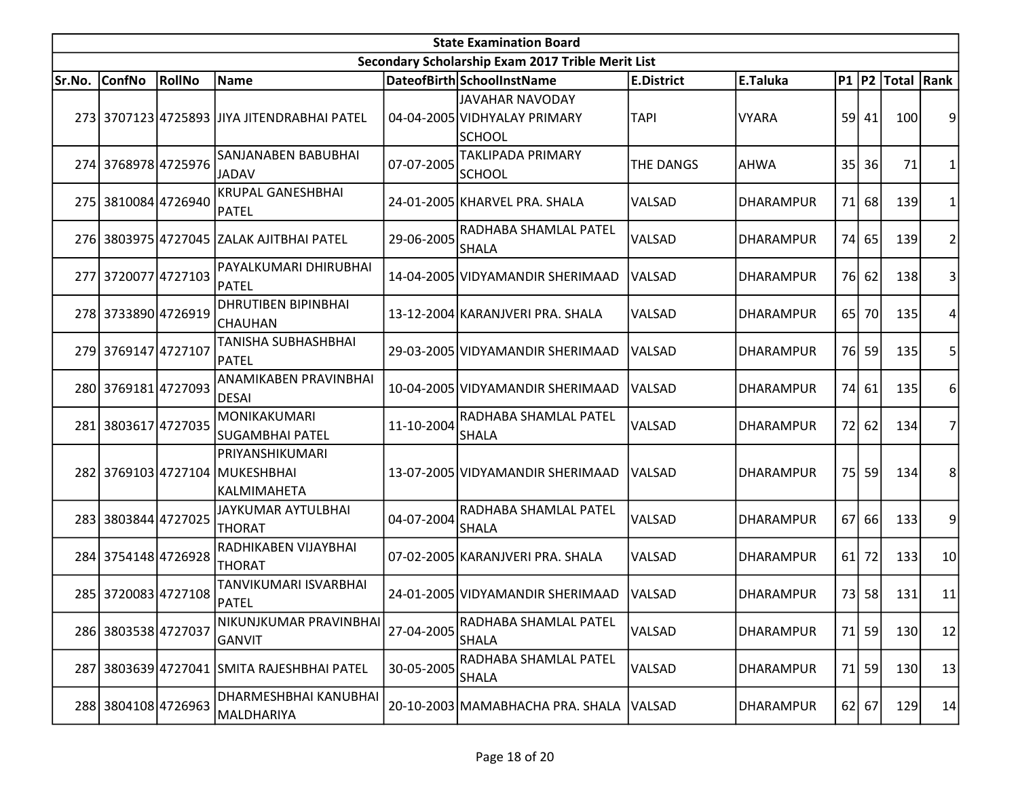|        |                     |               |                                                                  |            | <b>State Examination Board</b>                                          |                   |                  |                 |           |                     |                |
|--------|---------------------|---------------|------------------------------------------------------------------|------------|-------------------------------------------------------------------------|-------------------|------------------|-----------------|-----------|---------------------|----------------|
|        |                     |               |                                                                  |            | Secondary Scholarship Exam 2017 Trible Merit List                       |                   |                  |                 |           |                     |                |
| Sr.No. | <b>ConfNo</b>       | <b>RollNo</b> | Name                                                             |            | DateofBirth SchoolInstName                                              | <b>E.District</b> | E.Taluka         |                 |           | P1  P2  Total  Rank |                |
|        |                     |               | 273 3707123 4725893 JJIYA JITENDRABHAI PATEL                     |            | <b>JAVAHAR NAVODAY</b><br>04-04-2005 VIDHYALAY PRIMARY<br><b>SCHOOL</b> | <b>TAPI</b>       | <b>VYARA</b>     |                 | $59$ 41   | 100                 | 9              |
|        | 274 3768978 4725976 |               | SANJANABEN BABUBHAI<br>JADAV                                     | 07-07-2005 | TAKLIPADA PRIMARY<br><b>SCHOOL</b>                                      | <b>THE DANGS</b>  | <b>AHWA</b>      | 35              | 36        | 71                  | 1              |
|        | 275 3810084 4726940 |               | <b>KRUPAL GANESHBHAI</b><br><b>PATEL</b>                         |            | 24-01-2005 KHARVEL PRA. SHALA                                           | VALSAD            | <b>DHARAMPUR</b> | 71              | 68        | 139                 | 1              |
|        |                     |               | 276 3803975 4727045 ZALAK AJITBHAI PATEL                         | 29-06-2005 | RADHABA SHAMLAL PATEL<br><b>SHALA</b>                                   | VALSAD            | <b>DHARAMPUR</b> | 74I             | 65        | 139                 | $\overline{c}$ |
|        | 277 3720077 4727103 |               | PAYALKUMARI DHIRUBHAI<br>PATEL                                   |            | 14-04-2005 VIDYAMANDIR SHERIMAAD                                        | VALSAD            | <b>DHARAMPUR</b> | 76I             | 62        | 138                 | 3              |
|        | 278 3733890 4726919 |               | <b>DHRUTIBEN BIPINBHAI</b><br>CHAUHAN                            |            | 13-12-2004 KARANJVERI PRA. SHALA                                        | VALSAD            | <b>DHARAMPUR</b> | 65              | <b>70</b> | 135                 | 4              |
|        | 279 3769147 4727107 |               | TANISHA SUBHASHBHAI<br>PATEL                                     |            | 29-03-2005 VIDYAMANDIR SHERIMAAD                                        | VALSAD            | <b>DHARAMPUR</b> | 76 <sup> </sup> | 59        | 135                 | 5              |
|        | 280 3769181 4727093 |               | <b>ANAMIKABEN PRAVINBHAI</b><br><b>DESAI</b>                     |            | 10-04-2005 VIDYAMANDIR SHERIMAAD                                        | VALSAD            | <b>DHARAMPUR</b> | 74              | 61        | 135                 | 6              |
| 281    | 3803617 4727035     |               | MONIKAKUMARI<br>SUGAMBHAI PATEL                                  | 11-10-2004 | RADHABA SHAMLAL PATEL<br><b>SHALA</b>                                   | VALSAD            | <b>DHARAMPUR</b> | 72              | 62        | 134                 | 7              |
|        |                     |               | PRIYANSHIKUMARI<br>282 3769103 4727104 MUKESHBHAI<br>KALMIMAHETA |            | 13-07-2005 VIDYAMANDIR SHERIMAAD                                        | VALSAD            | <b>DHARAMPUR</b> | 75              | 59        | 134                 | 8              |
|        | 283 3803844 4727025 |               | JAYKUMAR AYTULBHAI<br><b>THORAT</b>                              | 04-07-2004 | RADHABA SHAMLAL PATEL<br><b>SHALA</b>                                   | VALSAD            | <b>DHARAMPUR</b> | 67              | 66        | 133                 | 9              |
|        | 284 3754148 4726928 |               | RADHIKABEN VIJAYBHAI<br><b>THORAT</b>                            |            | 07-02-2005 KARANJVERI PRA. SHALA                                        | VALSAD            | <b>DHARAMPUR</b> | <b>61</b>       | 72        | 133                 | 10             |
|        | 285 3720083 4727108 |               | TANVIKUMARI ISVARBHAI<br>PATEL                                   |            | 24-01-2005 VIDYAMANDIR SHERIMAAD                                        | VALSAD            | <b>DHARAMPUR</b> | 73              | 58        | 131                 | 11             |
|        | 286 3803538 4727037 |               | NIKUNJKUMAR PRAVINBHAI<br><b>GANVIT</b>                          | 27-04-2005 | RADHABA SHAMLAL PATEL<br><b>SHALA</b>                                   | VALSAD            | <b>DHARAMPUR</b> | 71              | 59        | 130                 | 12             |
|        |                     |               | 287 3803639 4727041 SMITA RAJESHBHAI PATEL                       | 30-05-2005 | RADHABA SHAMLAL PATEL<br><b>SHALA</b>                                   | VALSAD            | <b>DHARAMPUR</b> | 71              | 59        | 130                 | 13             |
|        | 288 3804108 4726963 |               | DHARMESHBHAI KANUBHAI<br>MALDHARIYA                              |            | 20-10-2003 MAMABHACHA PRA. SHALA                                        | VALSAD            | DHARAMPUR        |                 | $62$ 67   | 129                 | 14             |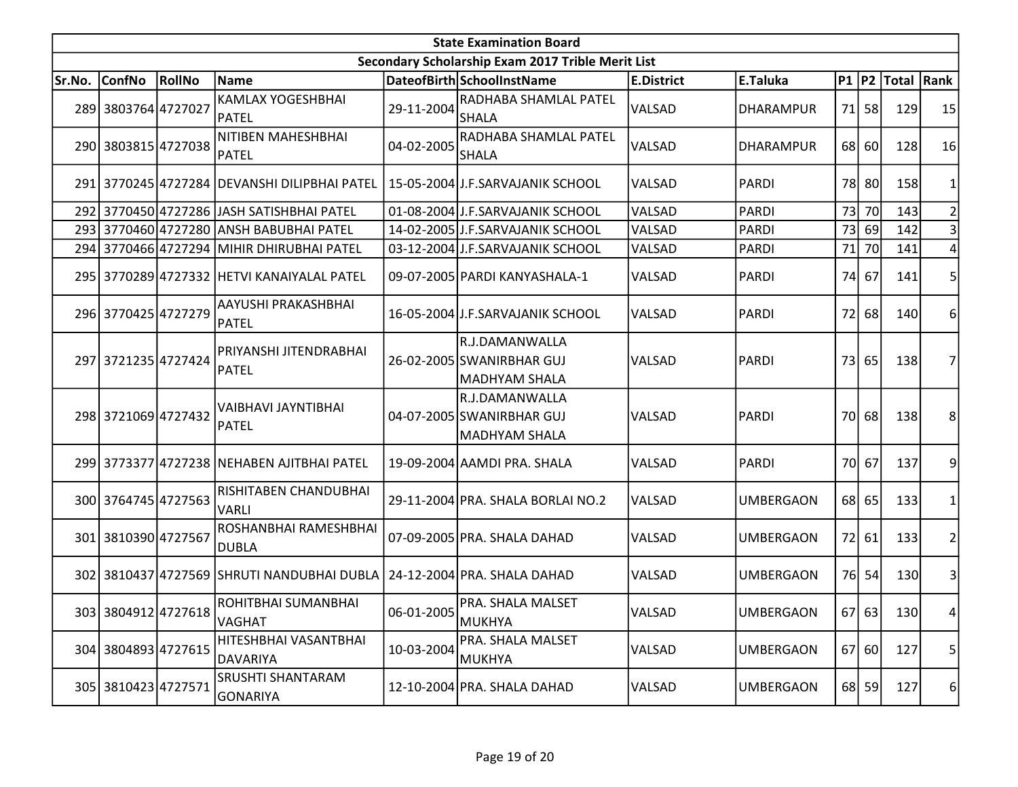|        |                     |        |                                              |            | <b>State Examination Board</b>                                      |                   |                  |    |       |                  |                |
|--------|---------------------|--------|----------------------------------------------|------------|---------------------------------------------------------------------|-------------------|------------------|----|-------|------------------|----------------|
|        |                     |        |                                              |            | Secondary Scholarship Exam 2017 Trible Merit List                   |                   |                  |    |       |                  |                |
| Sr.No. | <b>ConfNo</b>       | RollNo | Name                                         |            | DateofBirth SchoolInstName                                          | <b>E.District</b> | E.Taluka         |    |       | P1 P2 Total Rank |                |
|        | 289 3803764 4727027 |        | <b>KAMLAX YOGESHBHAI</b><br><b>PATEL</b>     | 29-11-2004 | RADHABA SHAMLAL PATEL<br><b>SHALA</b>                               | VALSAD            | <b>DHARAMPUR</b> |    | 71 58 | 129              | 15             |
|        | 290 3803815 4727038 |        | NITIBEN MAHESHBHAI<br>PATEL                  | 04-02-2005 | RADHABA SHAMLAL PATEL<br><b>SHALA</b>                               | VALSAD            | <b>DHARAMPUR</b> |    | 68 60 | 128              | 16             |
|        |                     |        | 291 3770245 4727284 DEVANSHI DILIPBHAI PATEL |            | 15-05-2004 J.F.SARVAJANIK SCHOOL                                    | VALSAD            | <b>PARDI</b>     |    | 78 80 | 158              |                |
|        |                     |        | 292 3770450 4727286 JASH SATISHBHAI PATEL    |            | 01-08-2004 J.F.SARVAJANIK SCHOOL                                    | VALSAD            | <b>PARDI</b>     |    | 73 70 | 143              |                |
|        |                     |        | 293 3770460 4727280 ANSH BABUBHAI PATEL      |            | 14-02-2005 J.F.SARVAJANIK SCHOOL                                    | VALSAD            | <b>PARDI</b>     |    | 73 69 | 142              | 3              |
|        |                     |        | 294 3770466 4727294 MIHIR DHIRUBHAI PATEL    |            | 03-12-2004 J.F.SARVAJANIK SCHOOL                                    | VALSAD            | <b>PARDI</b>     |    | 71 70 | 141              |                |
|        |                     |        | 295 3770289 4727332 HETVI KANAIYALAL PATEL   |            | 09-07-2005 PARDI KANYASHALA-1                                       | VALSAD            | <b>PARDI</b>     |    | 74 67 | 141              |                |
|        | 296 3770425 4727279 |        | AAYUSHI PRAKASHBHAI<br>PATEL                 |            | 16-05-2004 J.F.SARVAJANIK SCHOOL                                    | VALSAD            | <b>PARDI</b>     | 72 | 68    | 140              | 6              |
|        | 297 3721235 4727424 |        | PRIYANSHI JITENDRABHAI<br>PATEL              |            | R.J.DAMANWALLA<br>26-02-2005 SWANIRBHAR GUJ<br><b>MADHYAM SHALA</b> | VALSAD            | <b>PARDI</b>     |    | 73 65 | 138              | 7              |
|        | 298 3721069 4727432 |        | VAIBHAVI JAYNTIBHAI<br>PATEL                 |            | R.J.DAMANWALLA<br>04-07-2005 SWANIRBHAR GUJ<br><b>MADHYAM SHALA</b> | VALSAD            | <b>PARDI</b>     |    | 70 68 | 138              | 8              |
|        |                     |        | 299 3773377 4727238 NEHABEN AJITBHAI PATEL   |            | 19-09-2004 AAMDI PRA. SHALA                                         | VALSAD            | <b>PARDI</b>     |    | 70 67 | 137              | 9              |
|        | 300 3764745 4727563 |        | RISHITABEN CHANDUBHAI<br>VARLI               |            | 29-11-2004 PRA. SHALA BORLAI NO.2                                   | VALSAD            | <b>UMBERGAON</b> |    | 68 65 | 133              |                |
|        | 301 3810390 4727567 |        | ROSHANBHAI RAMESHBHAI<br>DUBLA               |            | 07-09-2005 PRA. SHALA DAHAD                                         | VALSAD            | <b>UMBERGAON</b> |    | 72 61 | 133              | 2              |
|        |                     |        | 302 3810437 4727569 SHRUTI NANDUBHAI DUBLA   |            | 24-12-2004 PRA. SHALA DAHAD                                         | VALSAD            | <b>UMBERGAON</b> |    | 76 54 | 130              | 3              |
|        | 303 3804912 4727618 |        | ROHITBHAI SUMANBHAI<br>VAGHAT                | 06-01-2005 | PRA. SHALA MALSET<br>MUKHYA                                         | VALSAD            | <b>UMBERGAON</b> |    | 67 63 | 130              | 4 <sup>1</sup> |
|        | 304 3804893 4727615 |        | HITESHBHAI VASANTBHAI<br>DAVARIYA            | 10-03-2004 | PRA. SHALA MALSET<br><b>MUKHYA</b>                                  | VALSAD            | <b>UMBERGAON</b> |    | 67 60 | 127              | 5              |
|        | 305 3810423 4727571 |        | <b>SRUSHTI SHANTARAM</b><br> GONARIYA        |            | 12-10-2004 PRA. SHALA DAHAD                                         | VALSAD            | <b>UMBERGAON</b> |    | 68 59 | 127              | $6 \mid$       |